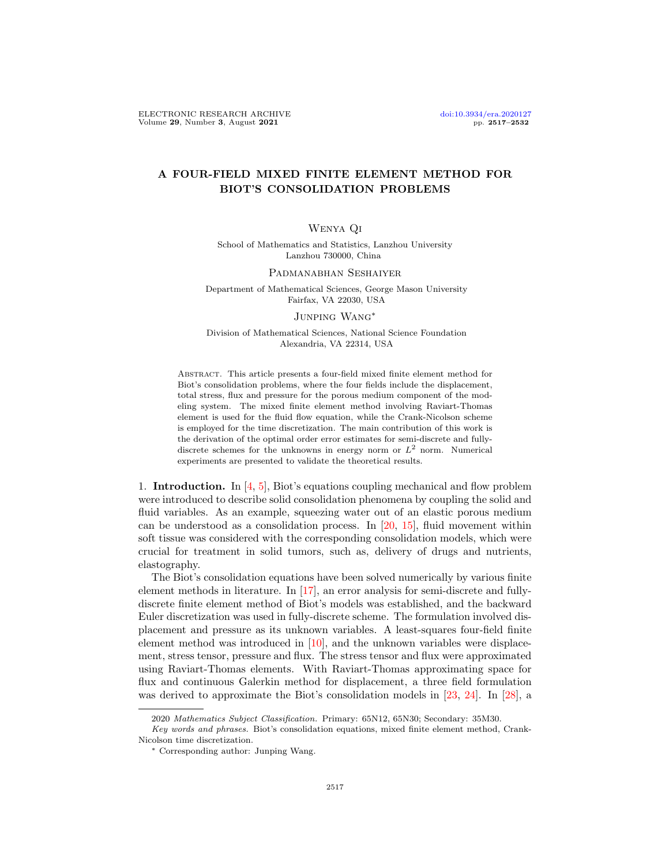# A FOUR-FIELD MIXED FINITE ELEMENT METHOD FOR BIOT'S CONSOLIDATION PROBLEMS

## Wenya Qi

School of Mathematics and Statistics, Lanzhou University Lanzhou 730000, China

### Padmanabhan Seshaiyer

Department of Mathematical Sciences, George Mason University Fairfax, VA 22030, USA

### Junping Wang<sup>∗</sup>

Division of Mathematical Sciences, National Science Foundation Alexandria, VA 22314, USA

Abstract. This article presents a four-field mixed finite element method for Biot's consolidation problems, where the four fields include the displacement, total stress, flux and pressure for the porous medium component of the modeling system. The mixed finite element method involving Raviart-Thomas element is used for the fluid flow equation, while the Crank-Nicolson scheme is employed for the time discretization. The main contribution of this work is the derivation of the optimal order error estimates for semi-discrete and fullydiscrete schemes for the unknowns in energy norm or  $L^2$  norm. Numerical experiments are presented to validate the theoretical results.

1. **Introduction.** In  $\left[4, 5\right]$ , Biot's equations coupling mechanical and flow problem were introduced to describe solid consolidation phenomena by coupling the solid and fluid variables. As an example, squeezing water out of an elastic porous medium can be understood as a consolidation process. In [\[20,](#page-15-0) [15\]](#page-15-1), fluid movement within soft tissue was considered with the corresponding consolidation models, which were crucial for treatment in solid tumors, such as, delivery of drugs and nutrients, elastography.

The Biot's consolidation equations have been solved numerically by various finite element methods in literature. In [\[17\]](#page-15-2), an error analysis for semi-discrete and fullydiscrete finite element method of Biot's models was established, and the backward Euler discretization was used in fully-discrete scheme. The formulation involved displacement and pressure as its unknown variables. A least-squares four-field finite element method was introduced in [\[10\]](#page-14-2), and the unknown variables were displacement, stress tensor, pressure and flux. The stress tensor and flux were approximated using Raviart-Thomas elements. With Raviart-Thomas approximating space for flux and continuous Galerkin method for displacement, a three field formulation was derived to approximate the Biot's consolidation models in [\[23,](#page-15-3) [24\]](#page-15-4). In [\[28\]](#page-15-5), a

<sup>2020</sup> Mathematics Subject Classification. Primary: 65N12, 65N30; Secondary: 35M30.

Key words and phrases. Biot's consolidation equations, mixed finite element method, Crank-Nicolson time discretization.

<sup>∗</sup> Corresponding author: Junping Wang.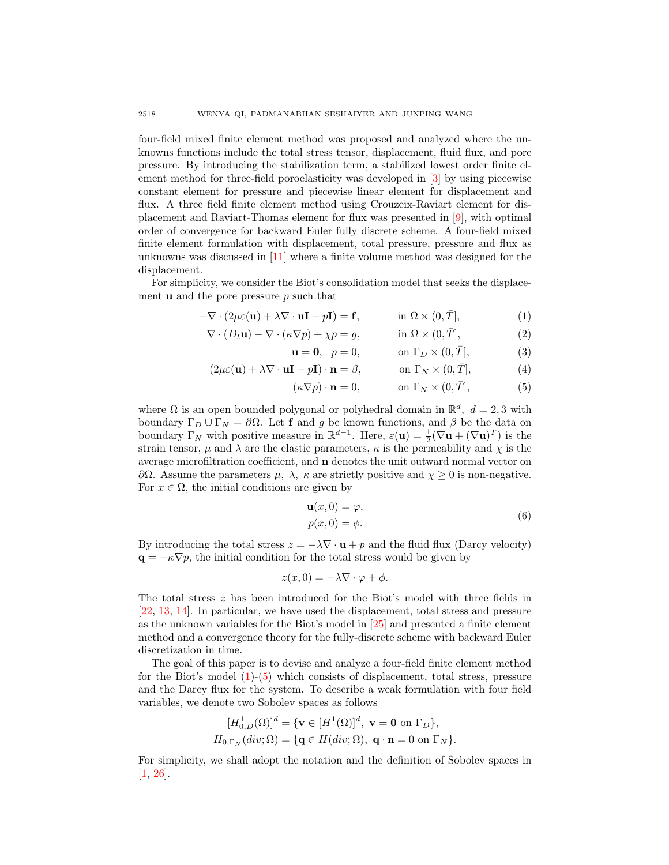four-field mixed finite element method was proposed and analyzed where the unknowns functions include the total stress tensor, displacement, fluid flux, and pore pressure. By introducing the stabilization term, a stabilized lowest order finite element method for three-field poroelasticity was developed in [\[3\]](#page-14-3) by using piecewise constant element for pressure and piecewise linear element for displacement and flux. A three field finite element method using Crouzeix-Raviart element for displacement and Raviart-Thomas element for flux was presented in [\[9\]](#page-14-4), with optimal order of convergence for backward Euler fully discrete scheme. A four-field mixed finite element formulation with displacement, total pressure, pressure and flux as unknowns was discussed in [\[11\]](#page-14-5) where a finite volume method was designed for the displacement.

For simplicity, we consider the Biot's consolidation model that seeks the displacement **u** and the pore pressure  $p$  such that

$$
-\nabla \cdot (2\mu \varepsilon(\mathbf{u}) + \lambda \nabla \cdot \mathbf{u}\mathbf{I} - p\mathbf{I}) = \mathbf{f}, \qquad \text{in } \Omega \times (0, \overline{T}], \tag{1}
$$

$$
\nabla \cdot (D_t \mathbf{u}) - \nabla \cdot (\kappa \nabla p) + \chi p = g, \qquad \text{in } \Omega \times (0, \overline{T}],
$$
 (2)

<span id="page-1-1"></span><span id="page-1-0"></span>
$$
\mathbf{u} = \mathbf{0}, \quad p = 0, \quad \text{on } \Gamma_D \times (0, \bar{T}], \tag{3}
$$

$$
(2\mu\varepsilon(\mathbf{u}) + \lambda \nabla \cdot \mathbf{u}\mathbf{I} - p\mathbf{I}) \cdot \mathbf{n} = \beta, \qquad \text{on } \Gamma_N \times (0, \bar{T}], \tag{4}
$$

$$
(\kappa \nabla p) \cdot \mathbf{n} = 0, \qquad \text{on } \Gamma_N \times (0, \bar{T}], \tag{5}
$$

where  $\Omega$  is an open bounded polygonal or polyhedral domain in  $\mathbb{R}^d$ ,  $d = 2, 3$  with boundary  $\Gamma_D \cup \Gamma_N = \partial \Omega$ . Let f and g be known functions, and  $\beta$  be the data on boundary  $\Gamma_N$  with positive measure in  $\mathbb{R}^{d-1}$ . Here,  $\varepsilon(\mathbf{u}) = \frac{1}{2}(\nabla \mathbf{u} + (\nabla \mathbf{u})^T)$  is the strain tensor,  $\mu$  and  $\lambda$  are the elastic parameters,  $\kappa$  is the permeability and  $\chi$  is the average microfiltration coefficient, and n denotes the unit outward normal vector on  $∂Ω$ . Assume the parameters  $μ$ ,  $λ$ ,  $κ$  are strictly positive and  $χ ≥ 0$  is non-negative. For  $x \in \Omega$ , the initial conditions are given by

<span id="page-1-2"></span>
$$
\mathbf{u}(x,0) = \varphi, \n p(x,0) = \phi.
$$
\n(6)

By introducing the total stress  $z = -\lambda \nabla \cdot \mathbf{u} + p$  and the fluid flux (Darcy velocity)  $\mathbf{q} = -\kappa \nabla p$ , the initial condition for the total stress would be given by

$$
z(x,0) = -\lambda \nabla \cdot \varphi + \phi.
$$

The total stress  $z$  has been introduced for the Biot's model with three fields in [\[22,](#page-15-6) [13,](#page-15-7) [14\]](#page-15-8). In particular, we have used the displacement, total stress and pressure as the unknown variables for the Biot's model in [\[25\]](#page-15-9) and presented a finite element method and a convergence theory for the fully-discrete scheme with backward Euler discretization in time.

The goal of this paper is to devise and analyze a four-field finite element method for the Biot's model [\(1\)](#page-1-0)-[\(5\)](#page-1-1) which consists of displacement, total stress, pressure and the Darcy flux for the system. To describe a weak formulation with four field variables, we denote two Sobolev spaces as follows

$$
[H_{0,D}^{1}(\Omega)]^{d} = \{ \mathbf{v} \in [H^{1}(\Omega)]^{d}, \ \mathbf{v} = \mathbf{0} \text{ on } \Gamma_{D} \},
$$

$$
H_{0,\Gamma_{N}}(div;\Omega) = \{ \mathbf{q} \in H(div;\Omega), \ \mathbf{q} \cdot \mathbf{n} = 0 \text{ on } \Gamma_{N} \}.
$$

For simplicity, we shall adopt the notation and the definition of Sobolev spaces in [\[1,](#page-14-6) [26\]](#page-15-10).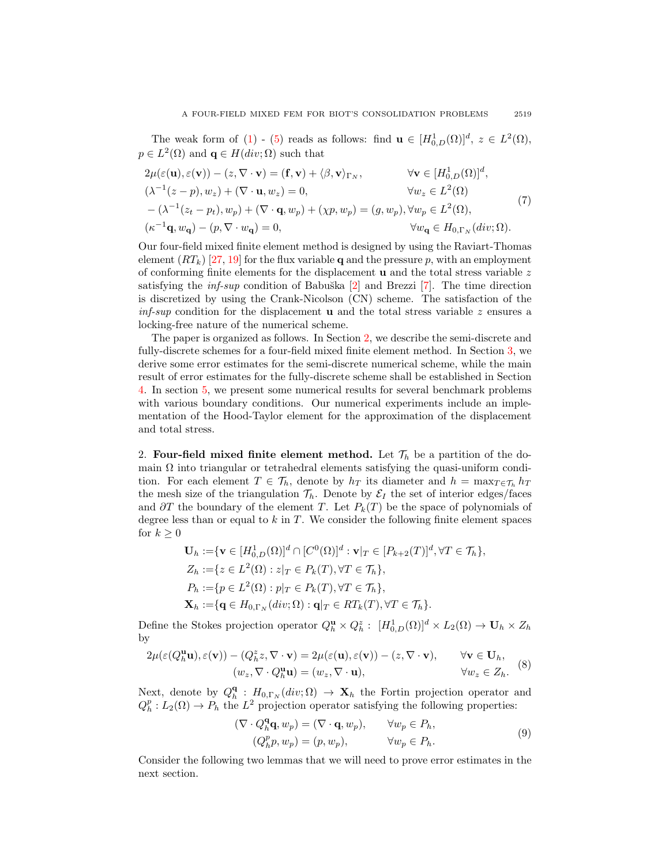The weak form of [\(1\)](#page-1-0) - [\(5\)](#page-1-1) reads as follows: find  $\mathbf{u} \in [H^1_{0,D}(\Omega)]^d$ ,  $z \in L^2(\Omega)$ ,  $p \in L^2(\Omega)$  and  $\mathbf{q} \in H(div; \Omega)$  such that

<span id="page-2-3"></span>
$$
2\mu(\varepsilon(\mathbf{u}), \varepsilon(\mathbf{v})) - (z, \nabla \cdot \mathbf{v}) = (\mathbf{f}, \mathbf{v}) + \langle \beta, \mathbf{v} \rangle_{\Gamma_N}, \qquad \forall \mathbf{v} \in [H_{0,D}^1(\Omega)]^d,
$$
  
\n
$$
(\lambda^{-1}(z - p), w_z) + (\nabla \cdot \mathbf{u}, w_z) = 0, \qquad \forall w_z \in L^2(\Omega)
$$
  
\n
$$
-(\lambda^{-1}(z_t - p_t), w_p) + (\nabla \cdot \mathbf{q}, w_p) + (\chi p, w_p) = (g, w_p), \forall w_p \in L^2(\Omega),
$$
  
\n
$$
(\kappa^{-1}\mathbf{q}, w_\mathbf{q}) - (p, \nabla \cdot w_\mathbf{q}) = 0, \qquad \forall w_\mathbf{q} \in H_{0,\Gamma_N}(div; \Omega).
$$
\n(7)

Our four-field mixed finite element method is designed by using the Raviart-Thomas element  $(RT_k)$  [\[27,](#page-15-11) [19\]](#page-15-12) for the flux variable q and the pressure p, with an employment of conforming finite elements for the displacement **u** and the total stress variable  $z$ satisfying the *inf-sup* condition of Babu $\overline{\text{S}}$ ka [\[2\]](#page-14-7) and Brezzi [\[7\]](#page-14-8). The time direction is discretized by using the Crank-Nicolson (CN) scheme. The satisfaction of the inf-sup condition for the displacement **u** and the total stress variable z ensures a locking-free nature of the numerical scheme.

The paper is organized as follows. In Section [2,](#page-2-0) we describe the semi-discrete and fully-discrete schemes for a four-field mixed finite element method. In Section [3,](#page-4-0) we derive some error estimates for the semi-discrete numerical scheme, while the main result of error estimates for the fully-discrete scheme shall be established in Section [4.](#page-11-0) In section [5,](#page-14-9) we present some numerical results for several benchmark problems with various boundary conditions. Our numerical experiments include an implementation of the Hood-Taylor element for the approximation of the displacement and total stress.

<span id="page-2-0"></span>2. Four-field mixed finite element method. Let  $\mathcal{T}_h$  be a partition of the domain  $\Omega$  into triangular or tetrahedral elements satisfying the quasi-uniform condition. For each element  $T \in \mathcal{T}_h$ , denote by  $h_T$  its diameter and  $h = \max_{T \in \mathcal{T}_h} h_T$ the mesh size of the triangulation  $\mathcal{T}_h$ . Denote by  $\mathcal{E}_I$  the set of interior edges/faces and  $\partial T$  the boundary of the element T. Let  $P_k(T)$  be the space of polynomials of degree less than or equal to  $k$  in  $T$ . We consider the following finite element spaces for  $k \geq 0$ 

$$
\mathbf{U}_h := \{ \mathbf{v} \in [H_{0,D}^1(\Omega)]^d \cap [C^0(\Omega)]^d : \mathbf{v}|_T \in [P_{k+2}(T)]^d, \forall T \in \mathcal{T}_h \},
$$
  
\n
$$
Z_h := \{ z \in L^2(\Omega) : z|_T \in P_k(T), \forall T \in \mathcal{T}_h \},
$$
  
\n
$$
P_h := \{ p \in L^2(\Omega) : p|_T \in P_k(T), \forall T \in \mathcal{T}_h \},
$$
  
\n
$$
\mathbf{X}_h := \{ \mathbf{q} \in H_{0,\Gamma_N}(div;\Omega) : \mathbf{q}|_T \in RT_k(T), \forall T \in \mathcal{T}_h \}.
$$

Define the Stokes projection operator  $Q_h^{\mathbf{u}} \times Q_h^z$ :  $[H_{0,D}^1(\Omega)]^d \times L_2(\Omega) \to \mathbf{U}_h \times Z_h$ by

<span id="page-2-1"></span>
$$
2\mu(\varepsilon(Q_h^{\mathbf{u}}\mathbf{u}), \varepsilon(\mathbf{v})) - (Q_h^z z, \nabla \cdot \mathbf{v}) = 2\mu(\varepsilon(\mathbf{u}), \varepsilon(\mathbf{v})) - (z, \nabla \cdot \mathbf{v}), \qquad \forall \mathbf{v} \in \mathbf{U}_h, (w_z, \nabla \cdot Q_h^{\mathbf{u}}\mathbf{u}) = (w_z, \nabla \cdot \mathbf{u}), \qquad \forall w_z \in Z_h.
$$
 (8)

Next, denote by  $Q_h^{\mathbf{q}}$ :  $H_{0,\Gamma_N}(div;\Omega) \to \mathbf{X}_h$  the Fortin projection operator and  $Q_h^p: L_2(\Omega) \to P_h$  the  $L^2$  projection operator satisfying the following properties:

<span id="page-2-2"></span>
$$
(\nabla \cdot Q_h^{\mathbf{q}} \mathbf{q}, w_p) = (\nabla \cdot \mathbf{q}, w_p), \qquad \forall w_p \in P_h,
$$
  

$$
(Q_h^p p, w_p) = (p, w_p), \qquad \forall w_p \in P_h.
$$
  
(9)

Consider the following two lemmas that we will need to prove error estimates in the next section.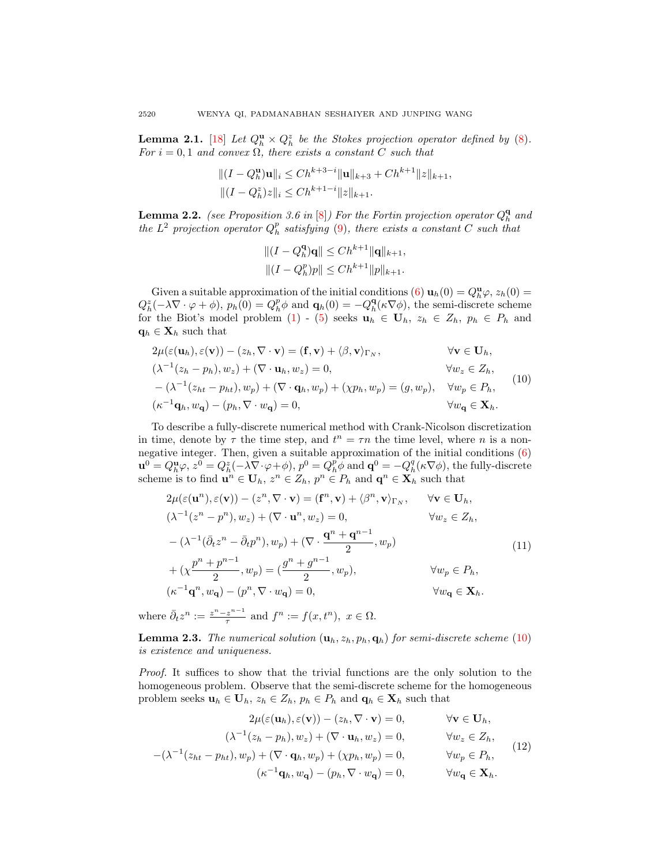<span id="page-3-2"></span>**Lemma 2.1.** [\[18\]](#page-15-13) Let  $Q_h^{\mathbf{u}} \times Q_h^z$  be the Stokes projection operator defined by [\(8\)](#page-2-1). For  $i = 0, 1$  and convex  $\Omega$ , there exists a constant C such that

$$
||(I - Q_h^{\mathbf{u}})\mathbf{u}||_i \le Ch^{k+3-i} \|\mathbf{u}\|_{k+3} + Ch^{k+1} \|z\|_{k+1},
$$
  

$$
||(I - Q_h^z)z||_i \le Ch^{k+1-i} \|z\|_{k+1}.
$$

<span id="page-3-3"></span>**Lemma 2.2.** (see Proposition 3.6 in [\[8\]](#page-14-10)) For the Fortin projection operator  $Q_h^{\mathbf{q}}$  and the  $L^2$  projection operator  $Q_h^p$  satisfying [\(9\)](#page-2-2), there exists a constant C such that

$$
||(I - Q_h^{\mathbf{q}})\mathbf{q}|| \le Ch^{k+1} ||\mathbf{q}||_{k+1},
$$
  

$$
||(I - Q_h^p)p|| \le Ch^{k+1} ||p||_{k+1}.
$$

Given a suitable approximation of the initial conditions [\(6\)](#page-1-2)  $\mathbf{u}_h(0) = Q_h^{\mathbf{u}}\varphi, z_h(0) =$  $Q_h^z(-\lambda \nabla \cdot \varphi + \phi), p_h(0) = Q_h^p \phi$  and  $\mathbf{q}_h(0) = -Q_h^q(\kappa \nabla \phi)$ , the semi-discrete scheme for the Biot's model problem [\(1\)](#page-1-0) - [\(5\)](#page-1-1) seeks  $\mathbf{u}_h \in \mathbf{U}_h$ ,  $z_h \in Z_h$ ,  $p_h \in P_h$  and  $\mathbf{q}_h \in \mathbf{X}_h$  such that

<span id="page-3-0"></span>
$$
2\mu(\varepsilon(\mathbf{u}_h), \varepsilon(\mathbf{v})) - (z_h, \nabla \cdot \mathbf{v}) = (\mathbf{f}, \mathbf{v}) + \langle \beta, \mathbf{v} \rangle_{\Gamma_N}, \qquad \forall \mathbf{v} \in \mathbf{U}_h, \n(\lambda^{-1}(z_h - p_h), w_z) + (\nabla \cdot \mathbf{u}_h, w_z) = 0, \qquad \forall w_z \in Z_h, \n- (\lambda^{-1}(z_{ht} - p_{ht}), w_p) + (\nabla \cdot \mathbf{q}_h, w_p) + (\chi p_h, w_p) = (g, w_p), \quad \forall w_p \in P_h, \n(\kappa^{-1}\mathbf{q}_h, w_\mathbf{q}) - (p_h, \nabla \cdot w_\mathbf{q}) = 0, \qquad \forall w_\mathbf{q} \in \mathbf{X}_h.
$$
\n(10)

To describe a fully-discrete numerical method with Crank-Nicolson discretization in time, denote by  $\tau$  the time step, and  $t^n = \tau n$  the time level, where n is a nonnegative integer. Then, given a suitable approximation of the initial conditions [\(6\)](#page-1-2)  $\mathbf{u}^0 = Q_h^{\mathbf{u}}\varphi, z^0 = Q_h^z(-\lambda \nabla \cdot \varphi + \phi), p^0 = Q_h^p \phi \text{ and } \mathbf{q}^0 = -Q_h^q(\kappa \nabla \phi)$ , the fully-discrete scheme is to find  $\mathbf{u}^n \in \mathbf{U}_h$ ,  $z^n \in Z_h$ ,  $p^n \in P_h$  and  $\mathbf{q}^n \in \mathbf{X}_h$  such that

<span id="page-3-4"></span>
$$
2\mu(\varepsilon(\mathbf{u}^{n}), \varepsilon(\mathbf{v})) - (z^{n}, \nabla \cdot \mathbf{v}) = (\mathbf{f}^{n}, \mathbf{v}) + \langle \beta^{n}, \mathbf{v} \rangle_{\Gamma_{N}}, \quad \forall \mathbf{v} \in \mathbf{U}_{h},
$$
  
\n
$$
(\lambda^{-1}(z^{n} - p^{n}), w_{z}) + (\nabla \cdot \mathbf{u}^{n}, w_{z}) = 0, \quad \forall w_{z} \in Z_{h},
$$
  
\n
$$
-(\lambda^{-1}(\bar{\partial}_{t}z^{n} - \bar{\partial}_{t}p^{n}), w_{p}) + (\nabla \cdot \frac{\mathbf{q}^{n} + \mathbf{q}^{n-1}}{2}, w_{p})
$$
  
\n
$$
+(\chi \frac{p^{n} + p^{n-1}}{2}, w_{p}) = (\frac{g^{n} + g^{n-1}}{2}, w_{p}), \quad \forall w_{p} \in P_{h},
$$
  
\n
$$
(\kappa^{-1}\mathbf{q}^{n}, w_{\mathbf{q}}) - (p^{n}, \nabla \cdot w_{\mathbf{q}}) = 0, \quad \forall w_{\mathbf{q}} \in \mathbf{X}_{h}.
$$
\n(11)

where  $\bar{\partial}_t z^n := \frac{z^n - z^{n-1}}{\tau}$  $\frac{z^{n-1}}{\tau}$  and  $f^n := f(x, t^n), x \in \Omega$ .

**Lemma 2.3.** The numerical solution  $(\mathbf{u}_h, z_h, p_h, \mathbf{q}_h)$  for semi-discrete scheme [\(10\)](#page-3-0) is existence and uniqueness.

Proof. It suffices to show that the trivial functions are the only solution to the homogeneous problem. Observe that the semi-discrete scheme for the homogeneous problem seeks  $\mathbf{u}_h \in \mathbf{U}_h$ ,  $z_h \in Z_h$ ,  $p_h \in P_h$  and  $\mathbf{q}_h \in \mathbf{X}_h$  such that

<span id="page-3-1"></span>
$$
2\mu(\varepsilon(\mathbf{u}_h), \varepsilon(\mathbf{v})) - (z_h, \nabla \cdot \mathbf{v}) = 0, \qquad \forall \mathbf{v} \in \mathbf{U}_h,
$$
  

$$
(\lambda^{-1}(z_h - p_h), w_z) + (\nabla \cdot \mathbf{u}_h, w_z) = 0, \qquad \forall w_z \in Z_h,
$$

$$
-(\lambda^{-1}(z_{ht} - p_{ht}), w_p) + (\nabla \cdot \mathbf{q}_h, w_p) + (\chi p_h, w_p) = 0, \qquad \forall w_p \in P_h,
$$

$$
(\kappa^{-1}\mathbf{q}_h, w_\mathbf{q}) - (p_h, \nabla \cdot w_\mathbf{q}) = 0, \qquad \forall w_\mathbf{q} \in \mathbf{X}_h.
$$
 (12)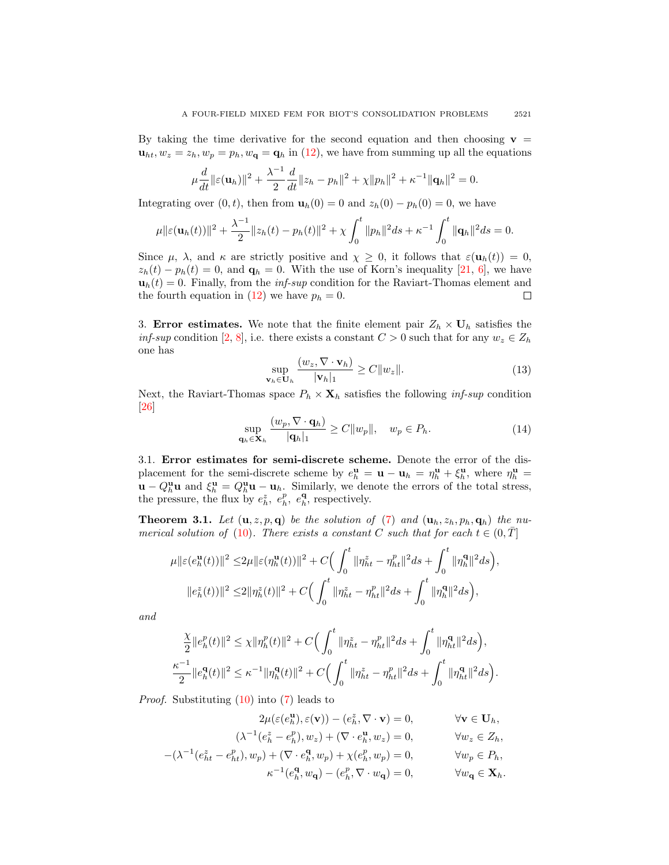By taking the time derivative for the second equation and then choosing  $v =$  $u_{ht}, w_z = z_h, w_p = p_h, w_q = q_h$  in [\(12\)](#page-3-1), we have from summing up all the equations

$$
\mu \frac{d}{dt} ||\varepsilon(\mathbf{u}_h)||^2 + \frac{\lambda^{-1}}{2} \frac{d}{dt} ||z_h - p_h||^2 + \chi ||p_h||^2 + \kappa^{-1} ||\mathbf{q}_h||^2 = 0.
$$

Integrating over  $(0, t)$ , then from  $\mathbf{u}_h(0) = 0$  and  $z_h(0) - p_h(0) = 0$ , we have

$$
\mu \|\varepsilon(\mathbf{u}_h(t))\|^2 + \frac{\lambda^{-1}}{2} \|z_h(t) - p_h(t)\|^2 + \chi \int_0^t \|p_h\|^2 ds + \kappa^{-1} \int_0^t \|\mathbf{q}_h\|^2 ds = 0.
$$

Since  $\mu$ ,  $\lambda$ , and  $\kappa$  are strictly positive and  $\chi \geq 0$ , it follows that  $\varepsilon(\mathbf{u}_h(t)) = 0$ ,  $z_h(t) - p_h(t) = 0$ , and  $q_h = 0$ . With the use of Korn's inequality [\[21,](#page-15-14) [6\]](#page-14-11), we have  $\mathbf{u}_h(t) = 0$ . Finally, from the *inf-sup* condition for the Raviart-Thomas element and the fourth equation in [\(12\)](#page-3-1) we have  $p_h = 0$ .  $\Box$ 

<span id="page-4-0"></span>3. Error estimates. We note that the finite element pair  $Z_h \times U_h$  satisfies the inf-sup condition [\[2,](#page-14-7) [8\]](#page-14-10), i.e. there exists a constant  $C > 0$  such that for any  $w_z \in Z_h$ one has

<span id="page-4-1"></span>
$$
\sup_{\mathbf{v}_h \in \mathbf{U}_h} \frac{(w_z, \nabla \cdot \mathbf{v}_h)}{|\mathbf{v}_h|_1} \ge C \|w_z\|. \tag{13}
$$

Next, the Raviart-Thomas space  $P_h \times \mathbf{X}_h$  satisfies the following *inf-sup* condition [\[26\]](#page-15-10)

$$
\sup_{\mathbf{q}_h \in \mathbf{X}_h} \frac{(w_p, \nabla \cdot \mathbf{q}_h)}{|\mathbf{q}_h|_1} \ge C \|w_p\|, \quad w_p \in P_h. \tag{14}
$$

3.1. Error estimates for semi-discrete scheme. Denote the error of the displacement for the semi-discrete scheme by  $e_h^{\mathbf{u}} = \mathbf{u} - \mathbf{u}_h = \eta_h^{\mathbf{u}} + \xi_h^{\mathbf{u}}$ , where  $\eta_h^{\mathbf{u}} =$  $\mathbf{u} - Q_h^{\mathbf{u}} \mathbf{u}$  and  $\xi_h^{\mathbf{u}} = Q_h^{\mathbf{u}} \mathbf{u} - \mathbf{u}_h$ . Similarly, we denote the errors of the total stress, the pressure, the flux by  $e_h^z$ ,  $e_h^p$ ,  $e_h^q$ , respectively.

<span id="page-4-2"></span>**Theorem 3.1.** Let  $(\mathbf{u}, z, p, \mathbf{q})$  be the solution of [\(7\)](#page-2-3) and  $(\mathbf{u}_h, z_h, p_h, \mathbf{q}_h)$  the nu-merical solution of [\(10\)](#page-3-0). There exists a constant C such that for each  $t \in (0, T]$ 

$$
\mu ||\varepsilon(e_h^{\mathbf{u}}(t))||^2 \leq 2\mu ||\varepsilon(\eta_h^{\mathbf{u}}(t))||^2 + C \Big( \int_0^t ||\eta_{ht}^z - \eta_{ht}^p||^2 ds + \int_0^t ||\eta_h^{\mathbf{q}}||^2 ds \Big),
$$
  

$$
||e_h^z(t)||^2 \leq 2||\eta_h^z(t)||^2 + C \Big( \int_0^t ||\eta_{ht}^z - \eta_{ht}^p||^2 ds + \int_0^t ||\eta_h^{\mathbf{q}}||^2 ds \Big),
$$

and

$$
\frac{\chi}{2}||e_h^p(t)||^2 \leq \chi ||\eta_h^p(t)||^2 + C\Big(\int_0^t \|\eta_{ht}^z - \eta_{ht}^p\|^2 ds + \int_0^t \|\eta_{ht}^q\|^2 ds\Big),
$$
  

$$
\frac{\kappa^{-1}}{2}||e_h^q(t)||^2 \leq \kappa^{-1}||\eta_h^q(t)||^2 + C\Big(\int_0^t \|\eta_{ht}^z - \eta_{ht}^p\|^2 ds + \int_0^t \|\eta_{ht}^q\|^2 ds\Big).
$$

Proof. Substituting [\(10\)](#page-3-0) into [\(7\)](#page-2-3) leads to

$$
2\mu(\varepsilon(e_h^{\mathbf{u}}), \varepsilon(\mathbf{v})) - (e_h^z, \nabla \cdot \mathbf{v}) = 0, \qquad \forall \mathbf{v} \in \mathbf{U}_h,
$$

$$
(\lambda^{-1}(e_h^z - e_h^p), w_z) + (\nabla \cdot e_h^{\mathbf{u}}, w_z) = 0, \qquad \forall w_z \in Z_h,
$$

$$
-(\lambda^{-1}(e_{ht}^z - e_{ht}^p), w_p) + (\nabla \cdot e_h^{\mathbf{q}}, w_p) + \chi(e_h^p, w_p) = 0, \qquad \forall w_p \in P_h,
$$

$$
\kappa^{-1}(e_h^{\mathbf{q}}, w_{\mathbf{q}}) - (e_h^p, \nabla \cdot w_{\mathbf{q}}) = 0, \qquad \forall w_{\mathbf{q}} \in \mathbf{X}_h.
$$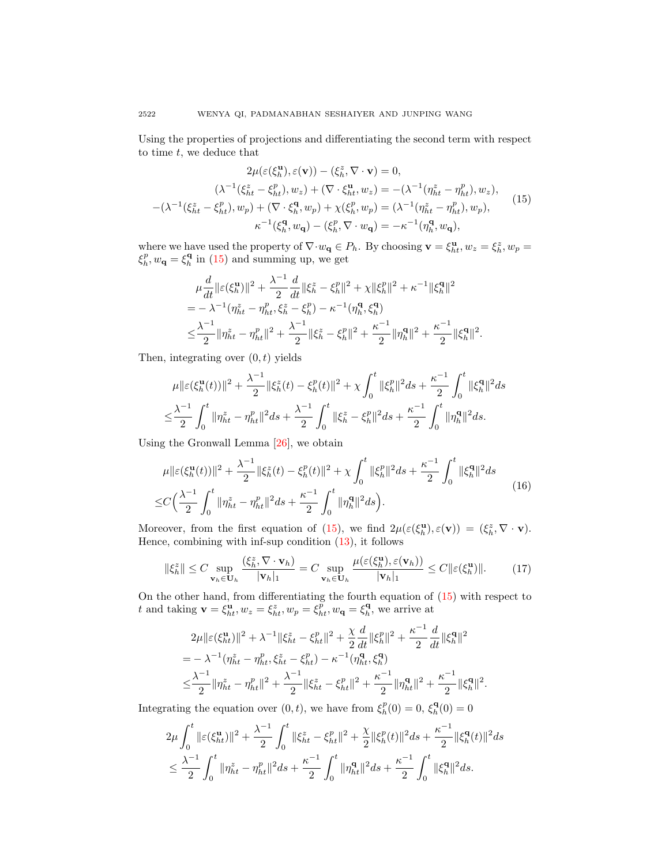Using the properties of projections and differentiating the second term with respect to time  $t$ , we deduce that

<span id="page-5-0"></span>
$$
2\mu(\varepsilon(\xi_h^{\mathbf{u}}), \varepsilon(\mathbf{v})) - (\xi_h^z, \nabla \cdot \mathbf{v}) = 0,
$$
  

$$
(\lambda^{-1}(\xi_h^z - \xi_h^p), w_z) + (\nabla \cdot \xi_h^{\mathbf{u}}, w_z) = -(\lambda^{-1}(\eta_{ht}^z - \eta_{ht}^p), w_z),
$$

$$
-(\lambda^{-1}(\xi_{ht}^z - \xi_h^p), w_p) + (\nabla \cdot \xi_h^{\mathbf{q}}, w_p) + \chi(\xi_h^p, w_p) = (\lambda^{-1}(\eta_{ht}^z - \eta_{ht}^p), w_p),
$$

$$
\kappa^{-1}(\xi_h^{\mathbf{q}}, w_{\mathbf{q}}) - (\xi_h^p, \nabla \cdot w_{\mathbf{q}}) = -\kappa^{-1}(\eta_h^{\mathbf{q}}, w_{\mathbf{q}}),
$$
(15)

where we have used the property of  $\nabla \cdot w_{\mathbf{q}} \in P_h$ . By choosing  $\mathbf{v} = \xi_h^{\mathbf{u}}, w_z = \xi_h^z, w_p =$  $\xi_h^p, w_\mathbf{q} = \xi_h^{\mathbf{q}}$  in [\(15\)](#page-5-0) and summing up, we get

$$
\mu \frac{d}{dt} ||\varepsilon(\xi_h^{\mathbf{u}})||^2 + \frac{\lambda^{-1}}{2} \frac{d}{dt} ||\xi_h^z - \xi_h^p||^2 + \chi ||\xi_h^p||^2 + \kappa^{-1} ||\xi_h^{\mathbf{q}}||^2
$$
  
=  $-\lambda^{-1} (\eta_{ht}^z - \eta_{ht}^p, \xi_h^z - \xi_h^p) - \kappa^{-1} (\eta_h^{\mathbf{q}}, \xi_h^{\mathbf{q}})$   
 $\leq \frac{\lambda^{-1}}{2} ||\eta_{ht}^z - \eta_{ht}^p||^2 + \frac{\lambda^{-1}}{2} ||\xi_h^z - \xi_h^p||^2 + \frac{\kappa^{-1}}{2} ||\eta_h^{\mathbf{q}}||^2 + \frac{\kappa^{-1}}{2} ||\xi_h^{\mathbf{q}}||^2.$ 

Then, integrating over  $(0, t)$  yields

$$
\mu \| \varepsilon (\xi_h^{\mathbf{u}}(t)) \|^2 + \frac{\lambda^{-1}}{2} \| \xi_h^z(t) - \xi_h^p(t) \|^2 + \chi \int_0^t \| \xi_h^p \|^2 ds + \frac{\kappa^{-1}}{2} \int_0^t \| \xi_h^{\mathbf{q}} \|^2 ds
$$
  

$$
\leq \frac{\lambda^{-1}}{2} \int_0^t \| \eta_{ht}^z - \eta_{ht}^p \|^2 ds + \frac{\lambda^{-1}}{2} \int_0^t \| \xi_h^z - \xi_h^p \|^2 ds + \frac{\kappa^{-1}}{2} \int_0^t \| \eta_h^{\mathbf{q}} \|^2 ds.
$$

Using the Gronwall Lemma [\[26\]](#page-15-10), we obtain

<span id="page-5-1"></span>
$$
\mu \| \varepsilon(\xi_h^{\mathbf{u}}(t)) \|^2 + \frac{\lambda^{-1}}{2} \| \xi_h^{\varepsilon}(t) - \xi_h^p(t) \|^2 + \chi \int_0^t \| \xi_h^p \|^2 ds + \frac{\kappa^{-1}}{2} \int_0^t \| \xi_h^{\mathbf{q}} \|^2 ds
$$
  

$$
\leq C \Big( \frac{\lambda^{-1}}{2} \int_0^t \| \eta_{ht}^{\varepsilon} - \eta_{ht}^p \|^2 ds + \frac{\kappa^{-1}}{2} \int_0^t \| \eta_h^{\mathbf{q}} \|^2 ds \Big). \tag{16}
$$

Moreover, from the first equation of [\(15\)](#page-5-0), we find  $2\mu(\varepsilon(\xi_h^{\mathbf{u}}), \varepsilon(\mathbf{v})) = (\xi_h^z, \nabla \cdot \mathbf{v}).$ Hence, combining with inf-sup condition  $(13)$ , it follows

<span id="page-5-2"></span>
$$
\|\xi_h^z\| \le C \sup_{\mathbf{v}_h \in \mathbf{U}_h} \frac{(\xi_h^z, \nabla \cdot \mathbf{v}_h)}{|\mathbf{v}_h|_1} = C \sup_{\mathbf{v}_h \in \mathbf{U}_h} \frac{\mu(\varepsilon(\xi_h^{\mathbf{u}}), \varepsilon(\mathbf{v}_h))}{|\mathbf{v}_h|_1} \le C \|\varepsilon(\xi_h^{\mathbf{u}})\|.
$$
 (17)

On the other hand, from differentiating the fourth equation of [\(15\)](#page-5-0) with respect to t and taking  $\mathbf{v} = \xi_{ht}^{\mathbf{u}}, w_z = \xi_{ht}^z, w_p = \xi_{ht}^p, w_{\mathbf{q}} = \xi_h^{\mathbf{q}},$  we arrive at

$$
2\mu \|\varepsilon(\xi_{ht}^{\mathbf{u}})\|^{2} + \lambda^{-1} \|\xi_{ht}^{z} - \xi_{ht}^{p}\|^{2} + \frac{\chi}{2} \frac{d}{dt} \|\xi_{h}^{p}\|^{2} + \frac{\kappa^{-1}}{2} \frac{d}{dt} \|\xi_{h}^{\mathbf{q}}\|^{2}
$$
  
=  $-\lambda^{-1}(\eta_{ht}^{z} - \eta_{ht}^{p}, \xi_{ht}^{z} - \xi_{ht}^{p}) - \kappa^{-1}(\eta_{ht}^{\mathbf{q}}, \xi_{ht}^{\mathbf{q}})$   
 $\leq \frac{\lambda^{-1}}{2} \|\eta_{ht}^{z} - \eta_{ht}^{p}\|^{2} + \frac{\lambda^{-1}}{2} \|\xi_{ht}^{z} - \xi_{ht}^{p}\|^{2} + \frac{\kappa^{-1}}{2} \|\eta_{ht}^{\mathbf{q}}\|^{2} + \frac{\kappa^{-1}}{2} \|\xi_{h}^{\mathbf{q}}\|^{2}.$ 

Integrating the equation over  $(0, t)$ , we have from  $\xi_h^p(0) = 0$ ,  $\xi_h^{\mathbf{q}}(0) = 0$ 

$$
2\mu \int_0^t \|\varepsilon(\xi_{ht}^{\mathbf{u}})\|^2 + \frac{\lambda^{-1}}{2} \int_0^t \|\xi_{ht}^z - \xi_{ht}^p\|^2 + \frac{\chi}{2} \|\xi_h^p(t)\|^2 ds + \frac{\kappa^{-1}}{2} \|\xi_h^{\mathbf{q}}(t)\|^2 ds
$$
  

$$
\leq \frac{\lambda^{-1}}{2} \int_0^t \|\eta_{ht}^z - \eta_{ht}^p\|^2 ds + \frac{\kappa^{-1}}{2} \int_0^t \|\eta_{ht}^{\mathbf{q}}\|^2 ds + \frac{\kappa^{-1}}{2} \int_0^t \|\xi_h^{\mathbf{q}}\|^2 ds.
$$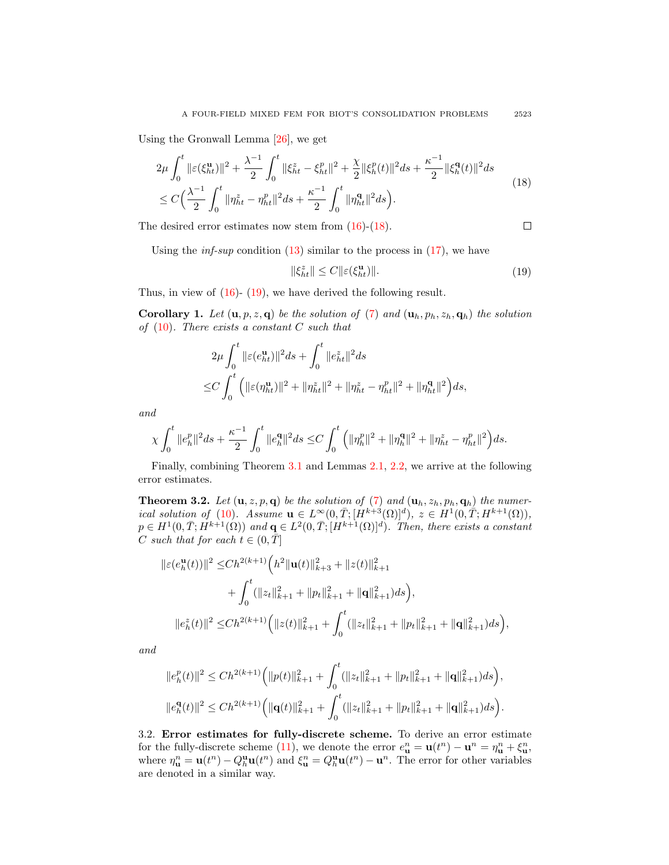Using the Gronwall Lemma [\[26\]](#page-15-10), we get

<span id="page-6-0"></span>
$$
2\mu \int_0^t \|\varepsilon(\xi_{ht}^{\mathbf{u}})\|^2 + \frac{\lambda^{-1}}{2} \int_0^t \|\xi_{ht}^z - \xi_{ht}^p\|^2 + \frac{\chi}{2} \|\xi_h^p(t)\|^2 ds + \frac{\kappa^{-1}}{2} \|\xi_h^{\mathbf{q}}(t)\|^2 ds
$$
  
\n
$$
\leq C \Big(\frac{\lambda^{-1}}{2} \int_0^t \|\eta_{ht}^z - \eta_{ht}^p\|^2 ds + \frac{\kappa^{-1}}{2} \int_0^t \|\eta_{ht}^{\mathbf{q}}\|^2 ds \Big). \tag{18}
$$

The desired error estimates now stem from  $(16)-(18)$  $(16)-(18)$ .

$$
\Box
$$

Using the *inf-sup* condition  $(13)$  similar to the process in  $(17)$ , we have

<span id="page-6-1"></span>
$$
\|\xi_{ht}^z\| \le C \|\varepsilon(\xi_{ht}^{\mathbf{u}})\|.\tag{19}
$$

Thus, in view of  $(16)$ -  $(19)$ , we have derived the following result.

**Corollary 1.** Let  $(\mathbf{u}, p, z, \mathbf{q})$  be the solution of [\(7\)](#page-2-3) and  $(\mathbf{u}_h, p_h, z_h, \mathbf{q}_h)$  the solution of  $(10)$ . There exists a constant C such that

$$
2\mu \int_0^t \|\varepsilon(e_{ht}^{\mathbf{u}})\|^2 ds + \int_0^t \|e_{ht}^z\|^2 ds
$$
  
\n
$$
\leq C \int_0^t \left( \|\varepsilon(\eta_{ht}^{\mathbf{u}})\|^2 + \|\eta_{ht}^z\|^2 + \|\eta_{ht}^z - \eta_{ht}^p\|^2 + \|\eta_{ht}^{\mathbf{q}}\|^2 \right) ds,
$$

and

$$
\chi \int_0^t \|e_h^p\|^2 ds + \frac{\kappa^{-1}}{2} \int_0^t \|e_h^{\mathbf{q}}\|^2 ds \leq C \int_0^t \Big( \|\eta_h^p\|^2 + \|\eta_h^{\mathbf{q}}\|^2 + \|\eta_{ht}^z - \eta_{ht}^p\|^2 \Big) ds.
$$

Finally, combining Theorem [3.1](#page-4-2) and Lemmas [2.1,](#page-3-2) [2.2,](#page-3-3) we arrive at the following error estimates.

**Theorem 3.2.** Let  $(\mathbf{u}, z, p, \mathbf{q})$  be the solution of [\(7\)](#page-2-3) and  $(\mathbf{u}_h, z_h, p_h, \mathbf{q}_h)$  the numer-ical solution of [\(10\)](#page-3-0). Assume  $\mathbf{u} \in L^{\infty}(0,\overline{T};[H^{k+3}(\Omega)]^d)$ ,  $z \in H^1(0,\overline{T};H^{k+1}(\Omega))$ ,  $p \in H^1(0,\overline{T}; H^{k+1}(\Omega))$  and  $\mathbf{q} \in L^2(0,\overline{T}; [H^{k+1}(\Omega)]^d)$ . Then, there exists a constant C such that for each  $t \in (0, \overline{T}]$ 

$$
\begin{split} \|\varepsilon(e_h^{\mathbf{u}}(t))\|^2 \leq & Ch^{2(k+1)} \Big( h^2 \|\mathbf{u}(t)\|_{k+3}^2 + \|z(t)\|_{k+1}^2 \\ &+ \int_0^t (\|z_t\|_{k+1}^2 + \|p_t\|_{k+1}^2 + \|\mathbf{q}\|_{k+1}^2) ds \Big), \\ \|e_h^z(t)\|^2 \leq & Ch^{2(k+1)} \Big( \|z(t)\|_{k+1}^2 + \int_0^t (\|z_t\|_{k+1}^2 + \|p_t\|_{k+1}^2 + \|\mathbf{q}\|_{k+1}^2) ds \Big), \end{split}
$$

and

$$
||e_h^p(t)||^2 \le Ch^{2(k+1)} \Big( ||p(t)||_{k+1}^2 + \int_0^t (||z_t||_{k+1}^2 + ||p_t||_{k+1}^2 + ||\mathbf{q}||_{k+1}^2) ds \Big),
$$
  

$$
||e_h^q(t)||^2 \le Ch^{2(k+1)} \Big( ||\mathbf{q}(t)||_{k+1}^2 + \int_0^t (||z_t||_{k+1}^2 + ||p_t||_{k+1}^2 + ||\mathbf{q}||_{k+1}^2) ds \Big).
$$

3.2. Error estimates for fully-discrete scheme. To derive an error estimate for the fully-discrete scheme [\(11\)](#page-3-4), we denote the error  $e_{\mathbf{u}}^n = \mathbf{u}(t^n) - \mathbf{u}^n = \eta_{\mathbf{u}}^n + \xi_{\mathbf{u}}^n$ , where  $\eta_{\mathbf{u}}^n = \mathbf{u}(t^n) - Q_h^{\mathbf{u}} \mathbf{u}(t^n)$  and  $\xi_{\mathbf{u}}^n = Q_h^{\mathbf{u}} \mathbf{u}(t^n) - \mathbf{u}^n$ . The error for other variables are denoted in a similar way.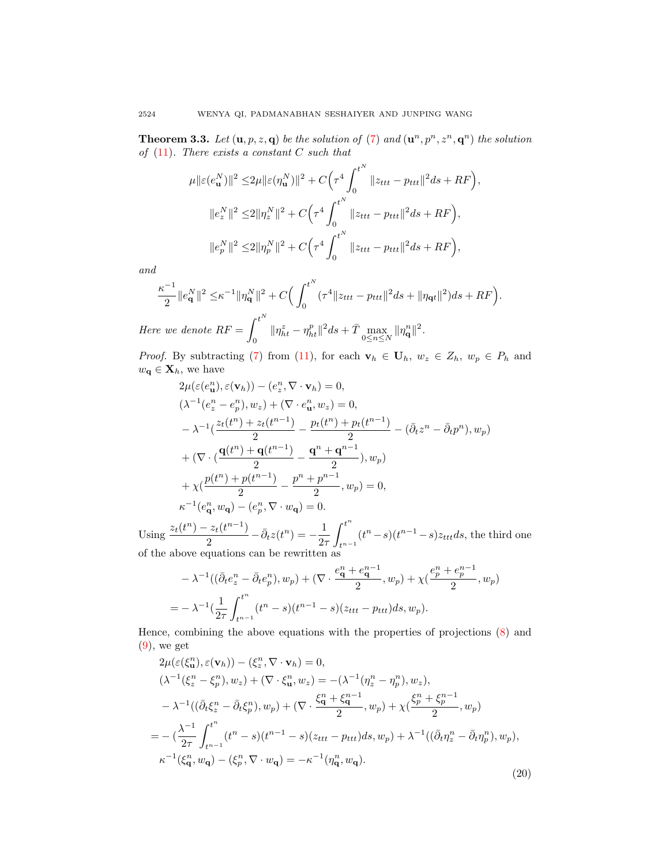<span id="page-7-1"></span>**Theorem 3.3.** Let  $(\mathbf{u}, p, z, \mathbf{q})$  be the solution of [\(7\)](#page-2-3) and  $(\mathbf{u}^n, p^n, z^n, \mathbf{q}^n)$  the solution of  $(11)$ . There exists a constant C such that

$$
\mu ||\varepsilon(e_{\mathbf{u}}^{N})||^{2} \leq 2\mu ||\varepsilon(\eta_{\mathbf{u}}^{N})||^{2} + C \Big(\tau^{4} \int_{0}^{t^{N}} ||z_{ttt} - p_{ttt}||^{2} ds + RF\Big),
$$
  

$$
||e_{z}^{N}||^{2} \leq 2||\eta_{z}^{N}||^{2} + C \Big(\tau^{4} \int_{0}^{t^{N}} ||z_{ttt} - p_{ttt}||^{2} ds + RF\Big),
$$
  

$$
||e_{p}^{N}||^{2} \leq 2||\eta_{p}^{N}||^{2} + C \Big(\tau^{4} \int_{0}^{t^{N}} ||z_{ttt} - p_{ttt}||^{2} ds + RF\Big),
$$

and

$$
\frac{\kappa^{-1}}{2} \|e_{\mathbf{q}}^{N}\|^2 \leq \kappa^{-1} \|\eta_{\mathbf{q}}^{N}\|^2 + C \Big( \int_0^{t^N} (\tau^4 \|z_{ttt} - p_{ttt}\|^2 ds + \|\eta_{\mathbf{q}t}\|^2) ds + RF \Big).
$$
  
Here we denote  $RF = \int_0^{t^N} \|\eta_{ht}^z - \eta_{ht}^p\|^2 ds + \bar{T} \max_{\|\eta_{\mathbf{q}}^n\|^2} \|\eta_{\mathbf{q}}^n\|^2.$ 

0  $\|\eta_{ht}^z - \eta_{ht}^p\|^2 ds + \bar{T} \max_{0 \leq n \leq N} \|\eta_{\mathbf{q}}^n\|^2.$ 

*Proof.* By subtracting [\(7\)](#page-2-3) from [\(11\)](#page-3-4), for each  $\mathbf{v}_h \in \mathbf{U}_h$ ,  $w_z \in Z_h$ ,  $w_p \in P_h$  and  $w_{\mathbf{q}} \in \mathbf{X}_h$ , we have

$$
2\mu(\varepsilon(e_{\mathbf{u}}^{n}), \varepsilon(\mathbf{v}_{h})) - (e_{z}^{n}, \nabla \cdot \mathbf{v}_{h}) = 0,
$$
  
\n
$$
(\lambda^{-1}(e_{z}^{n} - e_{p}^{n}), w_{z}) + (\nabla \cdot e_{\mathbf{u}}^{n}, w_{z}) = 0,
$$
  
\n
$$
-\lambda^{-1}(\frac{z_{t}(t^{n}) + z_{t}(t^{n-1})}{2} - \frac{p_{t}(t^{n}) + p_{t}(t^{n-1})}{2} - (\bar{\partial}_{t}z^{n} - \bar{\partial}_{t}p^{n}), w_{p})
$$
  
\n
$$
+ (\nabla \cdot (\frac{\mathbf{q}(t^{n}) + \mathbf{q}(t^{n-1})}{2} - \frac{\mathbf{q}^{n} + \mathbf{q}^{n-1}}{2}), w_{p})
$$
  
\n
$$
+ \chi(\frac{p(t^{n}) + p(t^{n-1})}{2} - \frac{p^{n} + p^{n-1}}{2}, w_{p}) = 0,
$$
  
\n
$$
\kappa^{-1}(e_{\mathbf{q}}^{n}, w_{\mathbf{q}}) - (e_{p}^{n}, \nabla \cdot w_{\mathbf{q}}) = 0.
$$

Using  $\frac{z_t(t^n)-z_t(t^{n-1})}{2}$  $\frac{z_t(t^{n-1})}{2} - \bar{\partial}_t z(t^n) = -\frac{1}{2\pi}$  $2\tau$  $\int^{t^n}$  $t^{n-1}$  $(t^{n}-s)(t^{n-1}-s)z_{ttt}ds$ , the third one of the above equations can be rewritten as

$$
- \lambda^{-1}((\bar{\partial}_t e_z^n - \bar{\partial}_t e_p^n), w_p) + (\nabla \cdot \frac{e_q^n + e_q^{n-1}}{2}, w_p) + \chi(\frac{e_p^n + e_p^{n-1}}{2}, w_p)
$$
  
= 
$$
- \lambda^{-1}(\frac{1}{2\tau} \int_{t^{n-1}}^{t^n} (t^n - s)(t^{n-1} - s)(z_{ttt} - p_{ttt}) ds, w_p).
$$

Hence, combining the above equations with the properties of projections [\(8\)](#page-2-1) and  $(9)$ , we get

<span id="page-7-0"></span>
$$
2\mu(\varepsilon(\xi_{\mathbf{u}}^{n}), \varepsilon(\mathbf{v}_{h})) - (\xi_{z}^{n}, \nabla \cdot \mathbf{v}_{h}) = 0,
$$
  
\n
$$
(\lambda^{-1}(\xi_{z}^{n} - \xi_{p}^{n}), w_{z}) + (\nabla \cdot \xi_{\mathbf{u}}^{n}, w_{z}) = -(\lambda^{-1}(\eta_{z}^{n} - \eta_{p}^{n}), w_{z}),
$$
  
\n
$$
-\lambda^{-1}((\bar{\partial}_{t}\xi_{z}^{n} - \bar{\partial}_{t}\xi_{p}^{n}), w_{p}) + (\nabla \cdot \frac{\xi_{\mathbf{q}}^{n} + \xi_{\mathbf{q}}^{n-1}}{2}, w_{p}) + \chi(\frac{\xi_{p}^{n} + \xi_{p}^{n-1}}{2}, w_{p})
$$
  
\n
$$
= -(\frac{\lambda^{-1}}{2\tau} \int_{t^{n-1}}^{t^{n}} (t^{n} - s)(t^{n-1} - s)(z_{ttt} - p_{ttt})ds, w_{p}) + \lambda^{-1}((\bar{\partial}_{t}\eta_{z}^{n} - \bar{\partial}_{t}\eta_{p}^{n}), w_{p}),
$$
  
\n
$$
\kappa^{-1}(\xi_{\mathbf{q}}^{n}, w_{\mathbf{q}}) - (\xi_{p}^{n}, \nabla \cdot w_{\mathbf{q}}) = -\kappa^{-1}(\eta_{\mathbf{q}}^{n}, w_{\mathbf{q}}).
$$
\n(20)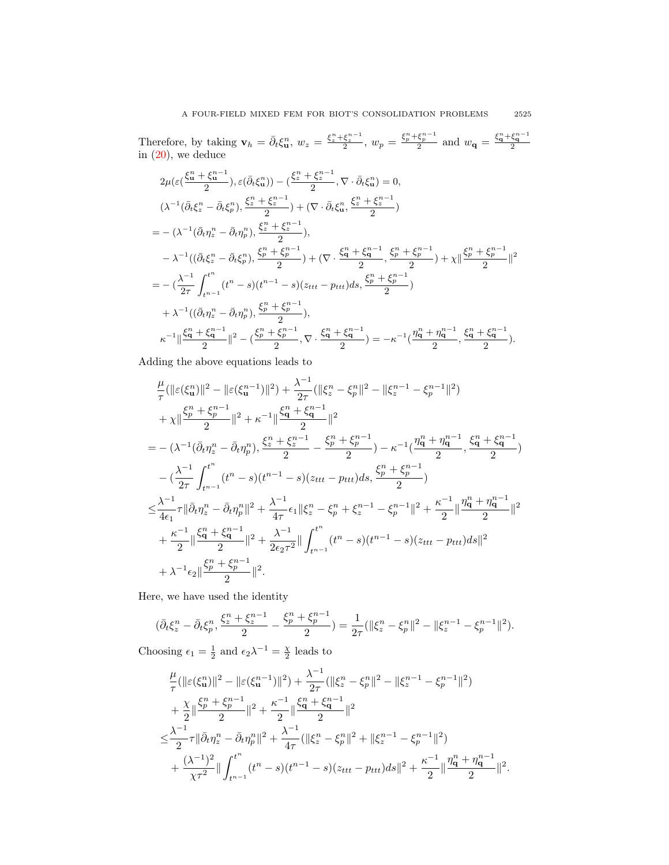Therefore, by taking  $\mathbf{v}_h = \bar{\partial}_t \xi_\mathbf{u}^n$ ,  $w_z = \frac{\xi_z^n + \xi_z^{n-1}}{2}$ ,  $w_p = \frac{\xi_p^n + \xi_p^{n-1}}{2}$  and  $w_\mathbf{q} = \frac{\xi_\mathbf{q}^n + \xi_\mathbf{q}^{n-1}}{2}$ <br>in [\(20\)](#page-7-0), we deduce

$$
2\mu(\varepsilon(\frac{\xi_{\mathbf{u}}^{n} + \xi_{\mathbf{u}}^{n-1}}{2}), \varepsilon(\bar{\partial}_{t}\xi_{\mathbf{u}}^{n})) - (\frac{\xi_{z}^{n} + \xi_{z}^{n-1}}{2}, \nabla \cdot \bar{\partial}_{t}\xi_{\mathbf{u}}^{n}) = 0,
$$
\n
$$
(\lambda^{-1}(\bar{\partial}_{t}\xi_{z}^{n} - \bar{\partial}_{t}\xi_{p}^{n}), \frac{\xi_{z}^{n} + \xi_{z}^{n-1}}{2}) + (\nabla \cdot \bar{\partial}_{t}\xi_{\mathbf{u}}^{n}, \frac{\xi_{z}^{n} + \xi_{z}^{n-1}}{2})
$$
\n
$$
= -(\lambda^{-1}(\bar{\partial}_{t}\eta_{z}^{n} - \bar{\partial}_{t}\eta_{p}^{n}), \frac{\xi_{z}^{n} + \xi_{z}^{n-1}}{2}),
$$
\n
$$
-\lambda^{-1}((\bar{\partial}_{t}\xi_{z}^{n} - \bar{\partial}_{t}\xi_{p}^{n}), \frac{\xi_{p}^{n} + \xi_{p}^{n-1}}{2}) + (\nabla \cdot \frac{\xi_{\mathbf{q}}^{n} + \xi_{\mathbf{q}}^{n-1}}{2}, \frac{\xi_{p}^{n} + \xi_{p}^{n-1}}{2}) + \chi ||\frac{\xi_{p}^{n} + \xi_{p}^{n-1}}{2}||^{2}
$$
\n
$$
= -(\frac{\lambda^{-1}}{2\tau} \int_{t^{n-1}}^{t^{n}} (t^{n} - s)(t^{n-1} - s)(z_{ttt} - p_{ttt}) ds, \frac{\xi_{p}^{n} + \xi_{p}^{n-1}}{2})
$$
\n
$$
+ \lambda^{-1}((\bar{\partial}_{t}\eta_{z}^{n} - \bar{\partial}_{t}\eta_{p}^{n}), \frac{\xi_{p}^{n} + \xi_{p}^{n-1}}{2}),
$$
\n
$$
\kappa^{-1} ||\frac{\xi_{\mathbf{q}}^{n} + \xi_{\mathbf{q}}^{n-1}}{2} ||^{2} - (\frac{\xi_{p}^{n} + \xi_{p}^{n-1}}{2}, \nabla \cdot \frac{\xi_{\mathbf{q}}^{n} + \xi_{\mathbf{q}}^{n-1}}{2}) = -\kappa^{-1}(\frac{\eta_{\mathbf{q}}
$$

Adding the above equations leads to

$$
\frac{\mu}{\tau}(\|\varepsilon(\xi_u^n)\|^2 - \|\varepsilon(\xi_u^{n-1})\|^2) + \frac{\lambda^{-1}}{2\tau}(\|\xi_z^n - \xi_p^n\|^2 - \|\xi_z^{n-1} - \xi_p^{n-1}\|^2) \n+ \chi \|\frac{\xi_p^n + \xi_p^{n-1}}{2}\|^2 + \kappa^{-1} \|\frac{\xi_q^n + \xi_q^{n-1}}{2}\|^2 \n= -(\lambda^{-1}(\bar{\partial}_t \eta_z^n - \bar{\partial}_t \eta_p^n), \frac{\xi_z^n + \xi_z^{n-1}}{2} - \frac{\xi_p^n + \xi_p^{n-1}}{2}) - \kappa^{-1}(\frac{\eta_q^n + \eta_q^{n-1}}{2}, \frac{\xi_q^n + \xi_q^{n-1}}{2}) \n- (\frac{\lambda^{-1}}{2\tau} \int_{t^{n-1}}^{t^n} (t^n - s)(t^{n-1} - s)(z_{ttt} - p_{ttt}) ds, \frac{\xi_p^n + \xi_p^{n-1}}{2}) \n\leq \frac{\lambda^{-1}}{4\epsilon_1} \tau \|\bar{\partial}_t \eta_z^n - \bar{\partial}_t \eta_p^n\|^2 + \frac{\lambda^{-1}}{4\tau} \epsilon_1 \|\xi_z^n - \xi_p^n + \xi_z^{n-1} - \xi_p^{n-1}\|^2 + \frac{\kappa^{-1}}{2} \|\frac{\eta_q^n + \eta_q^{n-1}}{2}\|^2 \n+ \frac{\kappa^{-1}}{2} \|\frac{\xi_q^n + \xi_q^{n-1}}{2} \|^2 + \frac{\lambda^{-1}}{2\epsilon_2 \tau^2} \|\int_{t^{n-1}}^{t^n} (t^n - s)(t^{n-1} - s)(z_{ttt} - p_{ttt}) ds\|^2 \n+ \lambda^{-1} \epsilon_2 \|\frac{\xi_p^n + \xi_p^{n-1}}{2}\|^2.
$$

Here, we have used the identity

$$
(\bar{\partial}_t \xi_z^n - \bar{\partial}_t \xi_p^n, \frac{\xi_z^n + \xi_z^{n-1}}{2} - \frac{\xi_p^n + \xi_p^{n-1}}{2}) = \frac{1}{2\tau} (\|\xi_z^n - \xi_p^n\|^2 - \|\xi_z^{n-1} - \xi_p^{n-1}\|^2).
$$

Choosing  $\epsilon_1 = \frac{1}{2}$  and  $\epsilon_2 \lambda^{-1} = \frac{\chi}{2}$  leads to

$$
\frac{\mu}{\tau}(\|\varepsilon(\xi_u^n)\|^2 - \|\varepsilon(\xi_u^{n-1})\|^2) + \frac{\lambda^{-1}}{2\tau}(\|\xi_z^n - \xi_p^n\|^2 - \|\xi_z^{n-1} - \xi_p^{n-1}\|^2) \n+ \frac{\chi}{2} \|\frac{\xi_p^n + \xi_p^{n-1}}{2}\|^2 + \frac{\kappa^{-1}}{2} \|\frac{\xi_q^n + \xi_q^{n-1}}{2}\|^2 \n\leq \frac{\lambda^{-1}}{2}\tau \|\bar{\partial}_t \eta_z^n - \bar{\partial}_t \eta_p^n\|^2 + \frac{\lambda^{-1}}{4\tau}(\|\xi_z^n - \xi_p^n\|^2 + \|\xi_z^{n-1} - \xi_p^{n-1}\|^2) \n+ \frac{(\lambda^{-1})^2}{\chi \tau^2} \|\int_{t^{n-1}}^{t^n} (t^n - s)(t^{n-1} - s)(z_{ttt} - p_{ttt}) ds\|^2 + \frac{\kappa^{-1}}{2} \|\frac{\eta_q^n + \eta_q^{n-1}}{2}\|^2.
$$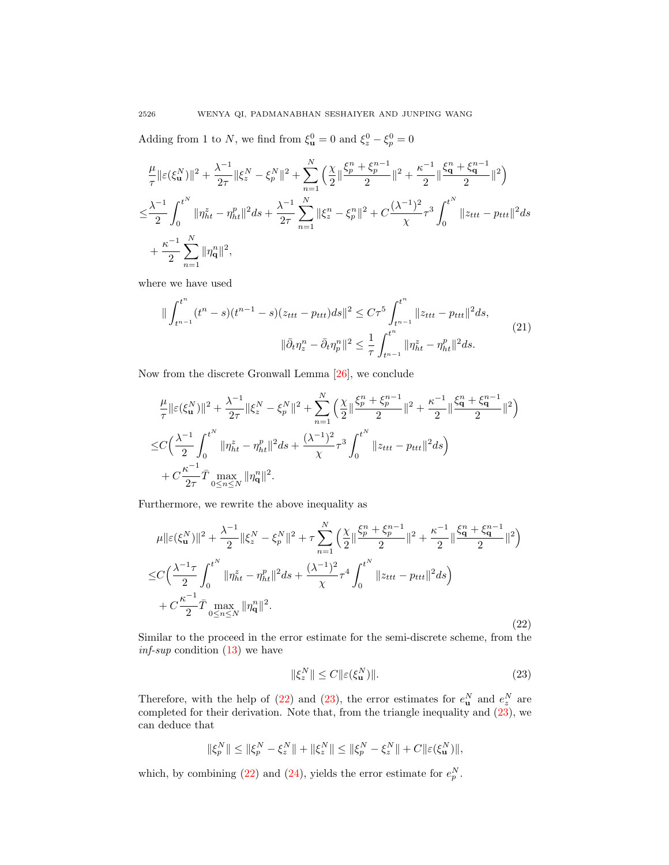Adding from 1 to N, we find from  $\xi_{\mathbf{u}}^0 = 0$  and  $\xi_z^0 - \xi_p^0 = 0$ 

$$
\begin{split} &\frac{\mu}{\tau}\|\varepsilon(\xi^N_{\mathbf u})\|^2+\frac{\lambda^{-1}}{2\tau}\|\xi^N_{z}-\xi^N_{p}\|^2+\sum_{n=1}^N\Big(\frac{\chi}{2}\|\frac{\xi^n_{p}+\xi^{n-1}_{p}}{2}\|^2+\frac{\kappa^{-1}}{2}\|\frac{\xi^n_{\mathbf q}+\xi^{n-1}_{\mathbf q}}{2}\|^2\Big)\\ \leq& \frac{\lambda^{-1}}{2}\int_0^{t^N}\|\eta^z_{ht}-\eta^p_{ht}\|^2ds+\frac{\lambda^{-1}}{2\tau}\sum_{n=1}^N\|\xi^n_{z}-\xi^n_{p}\|^2+C\frac{(\lambda^{-1})^2}{\chi}\tau^3\int_0^{t^N}\|z_{ttt}-p_{ttt}\|^2ds\\ &+\frac{\kappa^{-1}}{2}\sum_{n=1}^N\|\eta^n_{\mathbf q}\|^2, \end{split}
$$

where we have used

<span id="page-9-2"></span>
$$
\|\int_{t^{n-1}}^{t^n} (t^n - s)(t^{n-1} - s)(z_{ttt} - p_{ttt})ds\|^2 \le C\tau^5 \int_{t^{n-1}}^{t^n} \|z_{ttt} - p_{ttt}\|^2 ds,
$$
  

$$
\|\bar{\partial}_t \eta_z^n - \bar{\partial}_t \eta_p^n\|^2 \le \frac{1}{\tau} \int_{t^{n-1}}^{t^n} \|\eta_{ht}^z - \eta_{ht}^p\|^2 ds.
$$
 (21)

Now from the discrete Gronwall Lemma [\[26\]](#page-15-10), we conclude

$$
\begin{split} &\frac{\mu}{\tau}\|\varepsilon(\xi^N_{\mathbf u})\|^2+\frac{\lambda^{-1}}{2\tau}\|\xi^N_{z}-\xi^N_{p}\|^2+\sum_{n=1}^N\Big(\frac{\chi}{2}\|\frac{\xi^n_{p}+\xi^{n-1}_{p}}{2}\|^2+\frac{\kappa^{-1}}{2}\|\frac{\xi^n_{\mathbf q}+\xi^{n-1}_{\mathbf q}}{2}\|^2\Big)\\ \leq &C\Big(\frac{\lambda^{-1}}{2}\int_0^{t^N}\|\eta^z_{ht}-\eta^p_{ht}\|^2ds+\frac{(\lambda^{-1})^2}{\chi}\tau^3\int_0^{t^N}\|z_{ttt}-p_{ttt}\|^2ds\Big)\\ &+C\frac{\kappa^{-1}}{2\tau}\bar{T}\max_{0\leq n\leq N}\|\eta^n_{\mathbf q}\|^2. \end{split}
$$

Furthermore, we rewrite the above inequality as

<span id="page-9-0"></span>
$$
\mu \| \varepsilon(\xi_{\mathbf{u}}^{N}) \|^{2} + \frac{\lambda^{-1}}{2} \| \xi_{z}^{N} - \xi_{p}^{N} \|^{2} + \tau \sum_{n=1}^{N} \left( \frac{\chi}{2} \| \frac{\xi_{p}^{n} + \xi_{p}^{n-1}}{2} \|^{2} + \frac{\kappa^{-1}}{2} \| \frac{\xi_{\mathbf{q}}^{n} + \xi_{\mathbf{q}}^{n-1}}{2} \|^{2} \right)
$$
  
\n
$$
\leq C \left( \frac{\lambda^{-1} \tau}{2} \int_{0}^{t^{N}} \| \eta_{ht}^{z} - \eta_{ht}^{p} \|^{2} ds + \frac{(\lambda^{-1})^{2}}{\chi} \tau^{4} \int_{0}^{t^{N}} \| z_{ttt} - p_{ttt} \|^{2} ds \right)
$$
  
\n
$$
+ C \frac{\kappa^{-1}}{2} \bar{T} \max_{0 \leq n \leq N} \| \eta_{\mathbf{q}}^{n} \|^{2} .
$$
\n(22)

Similar to the proceed in the error estimate for the semi-discrete scheme, from the  $\inf\text{-}sup$  condition [\(13\)](#page-4-1) we have

<span id="page-9-1"></span>
$$
\|\xi_z^N\| \le C \|\varepsilon(\xi_\mathbf{u}^N)\|.\tag{23}
$$

Therefore, with the help of [\(22\)](#page-9-0) and [\(23\)](#page-9-1), the error estimates for  $e_{\mathbf{u}}^{N}$  and  $e_{z}^{N}$  are completed for their derivation. Note that, from the triangle inequality and [\(23\)](#page-9-1), we can deduce that

$$
\|\xi_p^N\| \le \|\xi_p^N - \xi_z^N\| + \|\xi_z^N\| \le \|\xi_p^N - \xi_z^N\| + C\|\varepsilon(\xi_u^N)\|,
$$

which, by combining [\(22\)](#page-9-0) and [\(24\)](#page-10-0), yields the error estimate for  $e_p^N$ .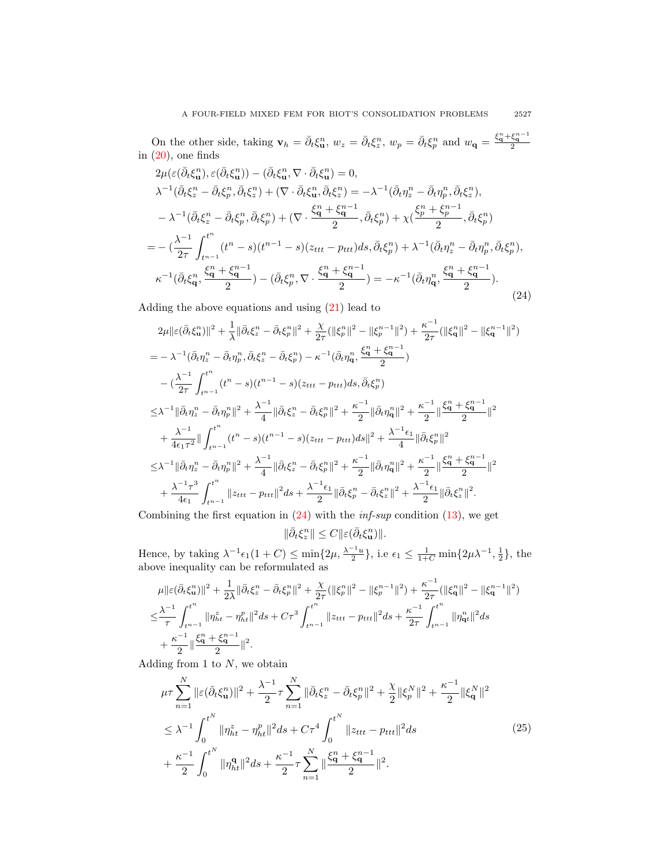On the other side, taking  $\mathbf{v}_h = \bar{\partial}_t \xi_{\mathbf{u}}^n$ ,  $w_z = \bar{\partial}_t \xi_z^n$ ,  $w_p = \bar{\partial}_t \xi_p^n$  and  $w_{\mathbf{q}} = \frac{\xi_{\mathbf{q}}^n + \xi_{\mathbf{q}}^{n-1}}{2}$ <br>in [\(20\)](#page-7-0), one finds

<span id="page-10-0"></span>
$$
2\mu(\varepsilon(\bar{\partial}_{t}\xi_{\mathbf{u}}^{n}), \varepsilon(\bar{\partial}_{t}\xi_{\mathbf{u}}^{n})) - (\bar{\partial}_{t}\xi_{\mathbf{u}}^{n}, \nabla \cdot \bar{\partial}_{t}\xi_{\mathbf{u}}^{n}) = 0,
$$
  
\n
$$
\lambda^{-1}(\bar{\partial}_{t}\xi_{z}^{n} - \bar{\partial}_{t}\xi_{p}^{n}, \bar{\partial}_{t}\xi_{z}^{n}) + (\nabla \cdot \bar{\partial}_{t}\xi_{\mathbf{u}}^{n}, \bar{\partial}_{t}\xi_{z}^{n}) = -\lambda^{-1}(\bar{\partial}_{t}\eta_{z}^{n} - \bar{\partial}_{t}\eta_{p}^{n}, \bar{\partial}_{t}\xi_{z}^{n}),
$$
  
\n
$$
-\lambda^{-1}(\bar{\partial}_{t}\xi_{z}^{n} - \bar{\partial}_{t}\xi_{p}^{n}, \bar{\partial}_{t}\xi_{p}^{n}) + (\nabla \cdot \frac{\xi_{\mathbf{q}}^{n} + \xi_{\mathbf{q}}^{n-1}}{2}, \bar{\partial}_{t}\xi_{p}^{n}) + \chi(\frac{\xi_{p}^{n} + \xi_{p}^{n-1}}{2}, \bar{\partial}_{t}\xi_{p}^{n})
$$
  
\n
$$
= -(\frac{\lambda^{-1}}{2\tau} \int_{t^{n-1}}^{t^{n}} (t^{n} - s)(t^{n-1} - s)(z_{ttt} - p_{ttt})ds, \bar{\partial}_{t}\xi_{p}^{n}) + \lambda^{-1}(\bar{\partial}_{t}\eta_{z}^{n} - \bar{\partial}_{t}\eta_{p}^{n}, \bar{\partial}_{t}\xi_{p}^{n}),
$$
  
\n
$$
\kappa^{-1}(\bar{\partial}_{t}\xi_{\mathbf{q}}^{n}, \frac{\xi_{\mathbf{q}}^{n} + \xi_{\mathbf{q}}^{n-1}}{2}) - (\bar{\partial}_{t}\xi_{p}^{n}, \nabla \cdot \frac{\xi_{\mathbf{q}}^{n} + \xi_{\mathbf{q}}^{n-1}}{2}) = -\kappa^{-1}(\bar{\partial}_{t}\eta_{\mathbf{q}}^{n}, \frac{\xi_{\mathbf{q}}^{n} + \xi_{\mathbf{q}}^{n-1}}{2}).
$$
\n(24)

Adding the above equations and using  $(21)$  lead to

$$
2\mu \|\varepsilon(\bar{\partial}_t \xi_u^n)\|^2 + \frac{1}{\lambda} \|\bar{\partial}_t \xi_z^n - \bar{\partial}_t \xi_p^n\|^2 + \frac{\chi}{2\tau} (\|\xi_p^n\|^2 - \|\xi_p^{n-1}\|^2) + \frac{\kappa^{-1}}{2\tau} (\|\xi_q^n\|^2 - \|\xi_q^{n-1}\|^2)
$$
  
\n
$$
= -\lambda^{-1} (\bar{\partial}_t \eta_z^n - \bar{\partial}_t \eta_p^n, \bar{\partial}_t \xi_z^n - \bar{\partial}_t \xi_p^n) - \kappa^{-1} (\bar{\partial}_t \eta_q^n, \frac{\xi_q^n + \xi_q^{n-1}}{2})
$$
  
\n
$$
- (\frac{\lambda^{-1}}{2\tau} \int_{t^{n-1}}^{t^n} (t^n - s)(t^{n-1} - s)(z_{ttt} - p_{ttt}) ds, \bar{\partial}_t \xi_p^n)
$$
  
\n
$$
\leq \lambda^{-1} \|\bar{\partial}_t \eta_z^n - \bar{\partial}_t \eta_p^n\|^2 + \frac{\lambda^{-1}}{4} \|\bar{\partial}_t \xi_z^n - \bar{\partial}_t \xi_p^n\|^2 + \frac{\kappa^{-1}}{2} \|\bar{\partial}_t \eta_q^n\|^2 + \frac{\kappa^{-1}}{2} \|\bar{\partial}_t \xi_z^n\|^2
$$
  
\n
$$
+ \frac{\lambda^{-1}}{4\epsilon_1 \tau^2} \|\int_{t^{n-1}}^{t^n} (t^n - s)(t^{n-1} - s)(z_{ttt} - p_{ttt}) ds\|^2 + \frac{\lambda^{-1} \epsilon_1}{4} \|\bar{\partial}_t \xi_p^n\|^2
$$
  
\n
$$
\leq \lambda^{-1} \|\bar{\partial}_t \eta_z^n - \bar{\partial}_t \eta_p^n\|^2 + \frac{\lambda^{-1}}{4} \|\bar{\partial}_t \xi_z^n - \bar{\partial}_t \xi_p^n\|^2 + \frac{\kappa^{-1}}{2} \|\bar{\partial}_t \eta_q^n\|^2 + \frac{\kappa^{-1}}{2} \|\bar{\partial}_t \xi_z^n\|^2
$$
  
\n
$$
+ \frac{\lambda^{-1} \tau^3}{4\epsilon_1} \int_{t^{n-1}}^{t^n} \|z_{ttt} - p_{ttt}\|^2 ds + \frac{\lambda^{-1} \epsilon_1}{2} \|\bar{\partial}_t \xi_p^n - \bar{\partial}_t \xi_z^n
$$

Combining the first equation in  $(24)$  with the *inf-sup* condition  $(13)$ , we get

 $\|\bar{\partial}_t \xi_z^n\| \leq C \|\varepsilon(\bar{\partial}_t \xi_u^n)\|.$ 

Hence, by taking  $\lambda^{-1} \epsilon_1(1+C) \le \min\{2\mu, \frac{\lambda^{-1}u}{2}\}\)$ , i.e  $\epsilon_1 \le \frac{1}{1+C} \min\{2\mu\lambda^{-1}, \frac{1}{2}\}\)$ , the above inequality can be reformulated as

$$
\mu \| \varepsilon (\bar{\partial}_t \xi_u^n) \|^2 + \frac{1}{2\lambda} \| \bar{\partial}_t \xi_z^n - \bar{\partial}_t \xi_p^n \|^2 + \frac{\chi}{2\tau} ( \| \xi_p^n \|^2 - \| \xi_p^{n-1} \|^2 ) + \frac{\kappa^{-1}}{2\tau} ( \| \xi_q^n \|^2 - \| \xi_q^{n-1} \|^2 )
$$
  

$$
\leq \frac{\lambda^{-1}}{\tau} \int_{t^{n-1}}^{t^n} \| \eta_{ht}^z - \eta_{ht}^p \|^2 ds + C\tau^3 \int_{t^{n-1}}^{t^n} \| z_{ttt} - p_{ttt} \|^2 ds + \frac{\kappa^{-1}}{2\tau} \int_{t^{n-1}}^{t^n} \| \eta_{qt}^n \|^2 ds
$$
  

$$
+ \frac{\kappa^{-1}}{2} \| \frac{\xi_q^n + \xi_q^{n-1}}{2} \|^2.
$$

Adding from 1 to  $N$ , we obtain

$$
\mu \tau \sum_{n=1}^{N} \|\varepsilon(\bar{\partial}_t \xi_u^n)\|^2 + \frac{\lambda^{-1}}{2} \tau \sum_{n=1}^{N} \|\bar{\partial}_t \xi_z^n - \bar{\partial}_t \xi_p^n\|^2 + \frac{\chi}{2} \|\xi_p^N\|^2 + \frac{\kappa^{-1}}{2} \|\xi_q^N\|^2
$$
  

$$
\leq \lambda^{-1} \int_0^{t^N} \|\eta_{ht}^z - \eta_{ht}^p\|^2 ds + C\tau^4 \int_0^{t^N} \|z_{ttt} - p_{ttt}\|^2 ds
$$
  

$$
+ \frac{\kappa^{-1}}{2} \int_0^{t^N} \|\eta_{ht}^q\|^2 ds + \frac{\kappa^{-1}}{2} \tau \sum_{n=1}^{N} \|\frac{\xi_q^n + \xi_q^{n-1}}{2}\|^2.
$$
 (25)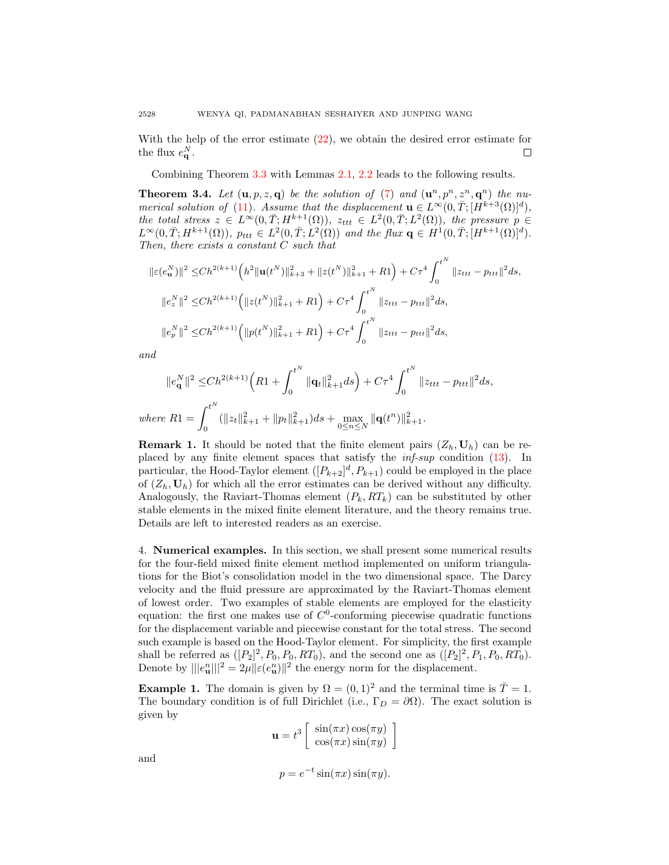With the help of the error estimate  $(22)$ , we obtain the desired error estimate for the flux  $e_{\mathbf{q}}^N$ .  $\Box$ 

Combining Theorem [3.3](#page-7-1) with Lemmas [2.1,](#page-3-2) [2.2](#page-3-3) leads to the following results.

**Theorem 3.4.** Let  $(\mathbf{u}, p, z, \mathbf{q})$  be the solution of [\(7\)](#page-2-3) and  $(\mathbf{u}^n, p^n, z^n, \mathbf{q}^n)$  the nu-merical solution of [\(11\)](#page-3-4). Assume that the displacement  $\mathbf{u} \in L^{\infty}(0,\overline{T};[H^{k+3}(\Omega)]^d)$ , the total stress  $z \in L^{\infty}(0,\overline{T}; H^{k+1}(\Omega))$ ,  $z_{ttt} \in L^2(0,\overline{T}; L^2(\Omega))$ , the pressure  $p \in$  $L^{\infty}(0,\overline{T};H^{k+1}(\Omega)),$   $p_{ttt} \in L^2(0,\overline{T};\overline{L}^2(\Omega))$  and the flux  $\mathbf{q} \in H^1(0,\overline{T};[H^{k+1}(\Omega)]^d)$ . Then, there exists a constant  $C$  such that

$$
\|\varepsilon(e_{\mathbf{u}}^{N})\|^{2} \leq Ch^{2(k+1)} \left(h^{2} \|\mathbf{u}(t^{N})\|_{k+3}^{2} + \|z(t^{N})\|_{k+1}^{2} + R1\right) + C\tau^{4} \int_{0}^{t^{N}} \|z_{ttt} - p_{ttt}\|^{2} ds,
$$
  

$$
\|e_{z}^{N}\|^{2} \leq Ch^{2(k+1)} \left(\|z(t^{N})\|_{k+1}^{2} + R1\right) + C\tau^{4} \int_{0}^{t^{N}} \|z_{ttt} - p_{ttt}\|^{2} ds,
$$
  

$$
\|e_{p}^{N}\|^{2} \leq Ch^{2(k+1)} \left(\|p(t^{N})\|_{k+1}^{2} + R1\right) + C\tau^{4} \int_{0}^{t^{N}} \|z_{ttt} - p_{ttt}\|^{2} ds,
$$

and

$$
||e_{\mathbf{q}}^{N}||^{2} \leq Ch^{2(k+1)}\left(R1+\int_{0}^{t^{N}}||\mathbf{q}_{t}||_{k+1}^{2}ds\right)+C\tau^{4}\int_{0}^{t^{N}}||z_{ttt}-p_{ttt}||^{2}ds,
$$
  
where 
$$
R1=\int_{0}^{t^{N}}(||z_{t}||_{k+1}^{2}+||p_{t}||_{k+1}^{2})ds+\max_{0\leq n\leq N}||\mathbf{q}(t^{n})||_{k+1}^{2}.
$$

**Remark 1.** It should be noted that the finite element pairs  $(Z_h, U_h)$  can be replaced by any finite element spaces that satisfy the inf-sup condition [\(13\)](#page-4-1). In particular, the Hood-Taylor element  $([P_{k+2}]^d, P_{k+1})$  could be employed in the place of  $(Z_h, U_h)$  for which all the error estimates can be derived without any difficulty. Analogously, the Raviart-Thomas element  $(P_k, RT_k)$  can be substituted by other stable elements in the mixed finite element literature, and the theory remains true. Details are left to interested readers as an exercise.

<span id="page-11-0"></span>4. Numerical examples. In this section, we shall present some numerical results for the four-field mixed finite element method implemented on uniform triangulations for the Biot's consolidation model in the two dimensional space. The Darcy velocity and the fluid pressure are approximated by the Raviart-Thomas element of lowest order. Two examples of stable elements are employed for the elasticity equation: the first one makes use of  $C^0$ -conforming piecewise quadratic functions for the displacement variable and piecewise constant for the total stress. The second such example is based on the Hood-Taylor element. For simplicity, the first example shall be referred as  $([P_2]^2, P_0, P_0, RT_0)$ , and the second one as  $([P_2]^2, P_1, P_0, RT_0)$ . Denote by  $\|e_u^n\| = 2\mu \|\varepsilon(e_u^n)\|^2$  the energy norm for the displacement.

**Example 1.** The domain is given by  $\Omega = (0, 1)^2$  and the terminal time is  $\overline{T} = 1$ . The boundary condition is of full Dirichlet (i.e.,  $\Gamma_D = \partial \Omega$ ). The exact solution is given by

$$
\mathbf{u} = t^3 \left[ \begin{array}{c} \sin(\pi x) \cos(\pi y) \\ \cos(\pi x) \sin(\pi y) \end{array} \right]
$$

and

$$
p = e^{-t} \sin(\pi x) \sin(\pi y).
$$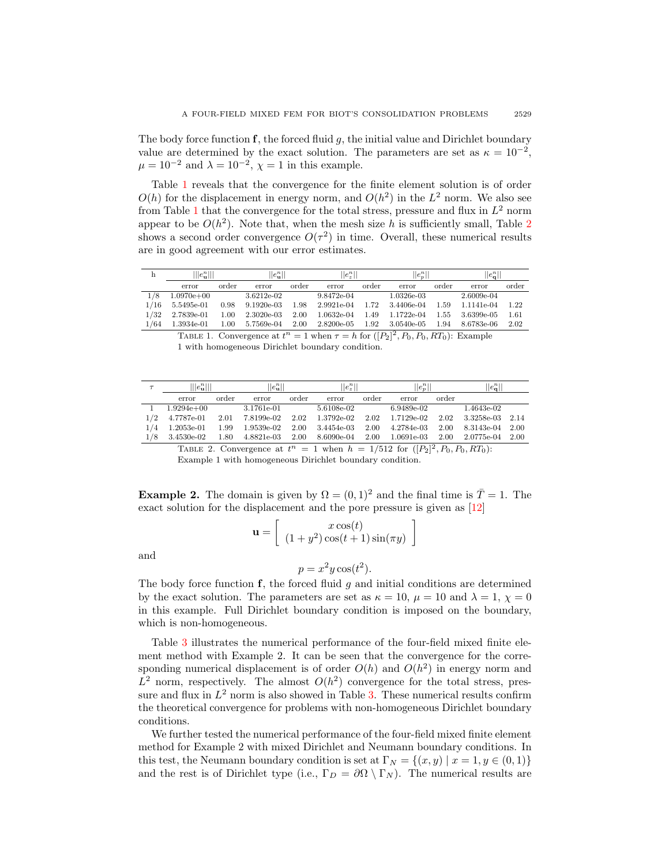The body force function  $f$ , the forced fluid  $g$ , the initial value and Dirichlet boundary value are determined by the exact solution. The parameters are set as  $\kappa = 10^{-2}$ ,  $\mu = 10^{-2}$  and  $\lambda = 10^{-2}$ ,  $\chi = 1$  in this example.

Table [1](#page-12-0) reveals that the convergence for the finite element solution is of order  $O(h)$  for the displacement in energy norm, and  $O(h^2)$  in the  $L^2$  norm. We also see from Table [1](#page-12-0) that the convergence for the total stress, pressure and flux in  $L^2$  norm appear to be  $O(h^2)$  $O(h^2)$  $O(h^2)$ . Note that, when the mesh size h is sufficiently small, Table 2 shows a second order convergence  $O(\tau^2)$  in time. Overall, these numerical results are in good agreement with our error estimates.

<span id="page-12-0"></span>

|      | $   e_{\mathbf{u}}^n   $ |          | $  e_{\mathbf{u}}^n  $ |       | $  e_z^n  $  |       | $  e_p^n  $  |       | $ e_{\bf q}^n $ |       |
|------|--------------------------|----------|------------------------|-------|--------------|-------|--------------|-------|-----------------|-------|
|      | error                    | order    | error                  | order | error        | order | error        | order | error           | order |
| 1/8  | $1.0970e + 00$           |          | 3.6212e-02             |       | 9.8472e-04   |       | $1.0326e-03$ |       | 2.6009e-04      |       |
| 1/16 | 5.5495e-01               | 0.98     | $9.1920e-03$           | 1.98  | 2.9921e-04   | 1.72  | 3.4406e-04   | 1.59  | 1.1141e-04      | 1.22  |
| 1/32 | 2.7839e-01               | $1.00\,$ | $2.3020e-03$           | 2.00  | $1.0632e-04$ | 1.49  | 1.1722e-04   | 1.55  | 3.6399e-05      | 1.61  |
| 1/64 | 1.3934e-01               | $1.00\,$ | 5.7569e-04             | 2.00  | $2.8200e-05$ | 1.92  | 3.0540e-05   | 1.94  | 8.6783e-06      | 2.02  |

TABLE 1. Convergence at  $t^n = 1$  when  $\tau = h$  for  $([P_2]^2, P_0, P_0, RT_0)$ : Example 1 with homogeneous Dirichlet boundary condition.

<span id="page-12-1"></span>

|     | $   e_{\mathbf{u}}^{n}   $ |       | $ e_{\mathbf{u}}^n  $ |       | $  e_z^n  $ |       | $  e_p^n  $  |       | $\ e_{\mathbf{q}}^n\ $ |      |
|-----|----------------------------|-------|-----------------------|-------|-------------|-------|--------------|-------|------------------------|------|
|     | error                      | order | error                 | order | error       | order | error        | order |                        |      |
|     | $1.9294e+00$               |       | 3.1761e-01            |       | 5.6108e-02  |       | 6.9489e-02   |       | 1.4643e-02             |      |
| 1/2 | 4.7787e-01                 | 2.01  | 7.8199e-02            | 2.02  | 1.3792e-02  | 2.02  | 1.7129e-02   | 2.02  | 3.3258e-03             | 2.14 |
| 1/4 | 1.2053e-01                 | 1.99  | 1.9539e-02            | 2.00  | 3.4454e-03  | 2.00  | 4.2784e-03   | 2.00  | 8.3143e-04             | 2.00 |
| 1/8 | 3.4530e-02                 | 1.80  | 4.8821e-03            | 2.00  | 8.6090e-04  | 2.00  | $1.0691e-03$ | 2.00  | 2.0775e-04             | 2.00 |
|     |                            |       |                       |       |             |       |              |       |                        |      |

TABLE 2. Convergence at  $t^n = 1$  when  $h = 1/512$  for  $([P_2]^2, P_0, P_0, RT_0)$ :

Example 1 with homogeneous Dirichlet boundary condition.

<span id="page-12-2"></span>**Example 2.** The domain is given by  $\Omega = (0, 1)^2$  and the final time is  $\overline{T} = 1$ . The exact solution for the displacement and the pore pressure is given as [\[12\]](#page-14-12)

$$
\mathbf{u} = \left[ \begin{array}{c} x \cos(t) \\ (1+y^2) \cos(t+1) \sin(\pi y) \end{array} \right]
$$

and

$$
p = x^2 y \cos(t^2).
$$

The body force function f, the forced fluid q and initial conditions are determined by the exact solution. The parameters are set as  $\kappa = 10$ ,  $\mu = 10$  and  $\lambda = 1$ ,  $\chi = 0$ in this example. Full Dirichlet boundary condition is imposed on the boundary, which is non-homogeneous.

Table [3](#page-13-0) illustrates the numerical performance of the four-field mixed finite element method with Example 2. It can be seen that the convergence for the corresponding numerical displacement is of order  $O(h)$  and  $O(h^2)$  in energy norm and  $L^2$  norm, respectively. The almost  $O(h^2)$  convergence for the total stress, pressure and flux in  $L^2$  norm is also showed in Table [3.](#page-13-0) These numerical results confirm the theoretical convergence for problems with non-homogeneous Dirichlet boundary conditions.

We further tested the numerical performance of the four-field mixed finite element method for Example 2 with mixed Dirichlet and Neumann boundary conditions. In this test, the Neumann boundary condition is set at  $\Gamma_N = \{(x, y) | x = 1, y \in (0, 1)\}\$ and the rest is of Dirichlet type (i.e.,  $\Gamma_D = \partial \Omega \setminus \Gamma_N$ ). The numerical results are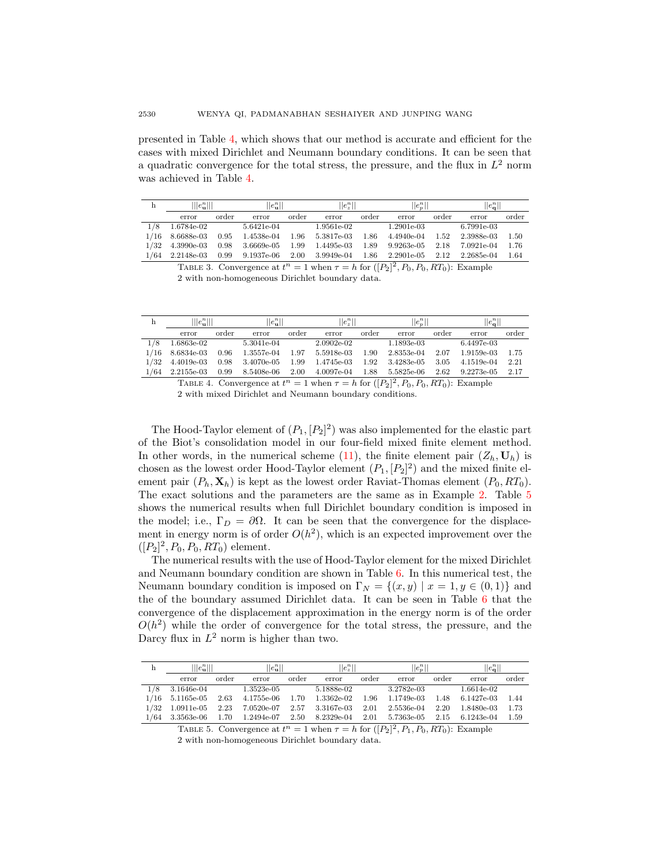presented in Table [4,](#page-13-1) which shows that our method is accurate and efficient for the cases with mixed Dirichlet and Neumann boundary conditions. It can be seen that a quadratic convergence for the total stress, the pressure, and the flux in  $L^2$  norm was achieved in Table [4.](#page-13-1)

<span id="page-13-0"></span>

| h    | $\ e_{\mathbf{u}}^{n}\ $ |       | $  e_{\mathbf{n}}^n  $ |       | $  e_{z}^{n}  $ |       | $  e_p^n  $  |       | $\ e_{\mathbf{a}}^{n}\ $ |       |
|------|--------------------------|-------|------------------------|-------|-----------------|-------|--------------|-------|--------------------------|-------|
|      | error                    | order | error                  | order | error           | order | error        | order | error                    | order |
| 1/8  | 1.6784e-02               |       | 5.6421e-04             |       | 1.9561e-02      |       | $1.2901e-03$ |       | $6.7991e-03$             |       |
| 1/16 | 8.6688e-03               | 0.95  | 1.4538e-04             | 1.96  | 5.3817e-03      | 1.86  | 4.4940e-04   | 1.52  | 2.3988e-03               | 1.50  |
| 1/32 | 4.3990e-03               | 0.98  | 3.6669e-05             | 1.99  | 1.4495e-03      | 1.89  | 9.9263e-05   | 2.18  | 7.0921e-04               | 1.76  |
| 1/64 | 2.2148e-03               | 0.99  | 9.1937e-06             | 2.00  | 3.9949e-04      | 1.86  | $2.2901e-05$ | 2.12  | 2.2685e-04               | 1.64  |

TABLE 3. Convergence at  $t^n = 1$  when  $\tau = h$  for  $([P_2]^2, P_0, P_0, RT_0)$ : Example 2 with non-homogeneous Dirichlet boundary data.

<span id="page-13-1"></span>

|      | $\ e_{\mathbf{n}}^n\ $ |       | $  e_{\mathbf{n}}^n  $ |       | $  e_{\tau}^n  $ |       | $  e_n^n  $ |       | $  e_{\alpha}^{n}  $ |       |
|------|------------------------|-------|------------------------|-------|------------------|-------|-------------|-------|----------------------|-------|
|      | error                  | order | error                  | order | error            | order | error       | order | error                | order |
| 1/8  | 1.6863e-02             |       | 5.3041e-04             |       | 2.0902e-02       |       | 1.1893e-03  |       | 6.4497e-03           |       |
| 1/16 | 8.6834e-03             | 0.96  | 1.3557e-04             | 1.97  | 5.5918e-03       | 1.90  | 2.8353e-04  | 2.07  | 1.9159e-03           | 1.75  |
| 1/32 | 4.4019e-03             | 0.98  | 3.4070e-05             | 1.99  | 1.4745e-03       | 1.92  | 3.4283e-05  | 3.05  | 4.1519e-04           | 2.21  |
| 1/64 | $2.2155$ e-03          | 0.99  | 8.5408e-06             | 2.00  | 4.0097e-04       | 1.88  | 5.5825e-06  | 2.62  | 9.2273e-05           | 2.17  |
|      |                        |       |                        |       |                  |       |             |       |                      |       |

TABLE 4. Convergence at  $t^n = 1$  when  $\tau = h$  for  $([P_2]^2, P_0, P_0, RT_0)$ : Example 2 with mixed Dirichlet and Neumann boundary conditions.

The Hood-Taylor element of  $(P_1, [P_2]^2)$  was also implemented for the elastic part of the Biot's consolidation model in our four-field mixed finite element method. In other words, in the numerical scheme [\(11\)](#page-3-4), the finite element pair  $(Z_h, \mathbf{U}_h)$  is chosen as the lowest order Hood-Taylor element  $(P_1, [P_2]^2)$  and the mixed finite element pair  $(P_h, \mathbf{X}_h)$  is kept as the lowest order Raviat-Thomas element  $(P_0, RT_0)$ . The exact solutions and the parameters are the same as in Example [2.](#page-12-2) Table [5](#page-13-2) shows the numerical results when full Dirichlet boundary condition is imposed in the model; i.e.,  $\Gamma_D = \partial \Omega$ . It can be seen that the convergence for the displacement in energy norm is of order  $O(h^2)$ , which is an expected improvement over the  $([P_2]^2, P_0, P_0, RT_0)$  element.

The numerical results with the use of Hood-Taylor element for the mixed Dirichlet and Neumann boundary condition are shown in Table [6.](#page-14-13) In this numerical test, the Neumann boundary condition is imposed on  $\Gamma_N = \{(x, y) | x = 1, y \in (0, 1)\}\$ and the of the boundary assumed Dirichlet data. It can be seen in Table [6](#page-14-13) that the convergence of the displacement approximation in the energy norm is of the order  $O(h^2)$  while the order of convergence for the total stress, the pressure, and the Darcy flux in  $L^2$  norm is higher than two.

<span id="page-13-2"></span>

|     | $\ e_{\mathbf{n}}^n\ $ |       | $  e_{\mathbf{n}}^n  $ |          | $  e_z^n  $ |       | $  e_n^n  $ |       | $\ e_{\bf q}^n\ $ |       |
|-----|------------------------|-------|------------------------|----------|-------------|-------|-------------|-------|-------------------|-------|
|     | error                  | order | error                  | order    | error       | order | error       | order | error             | order |
| 1/8 | 3.1646e-04             |       | $1.3523$ e-05          |          | 5.1888e-02  |       | 3.2782e-03  |       | 1.6614e-02        |       |
|     | $1/16$ 5.1165e-05      | 2.63  | 4.1755e-06             | 1.70     | 1.3362e-02  | 1.96  | 1.1749e-03  | 1.48  | 6.1427e-03        | 1.44  |
|     | $1/32$ 1.0911e-05      | 2.23  | 7.0520e-07             | $2.57\,$ | 3.3167e-03  | 2.01  | 2.5536e-04  | 2.20  | 1.8480e-03        | 1.73  |
|     | $1/64$ 3.3563e-06      | 1.70  | 1.2494e-07             | 2.50     | 8.2329e-04  | 2.01  | 5.7363e-05  | 2.15  | 6.1243e-04        | 1.59  |
|     |                        |       |                        |          |             |       |             |       |                   |       |

TABLE 5. Convergence at  $t^n = 1$  when  $\tau = h$  for  $([P_2]^2, P_1, P_0, RT_0)$ : Example 2 with non-homogeneous Dirichlet boundary data.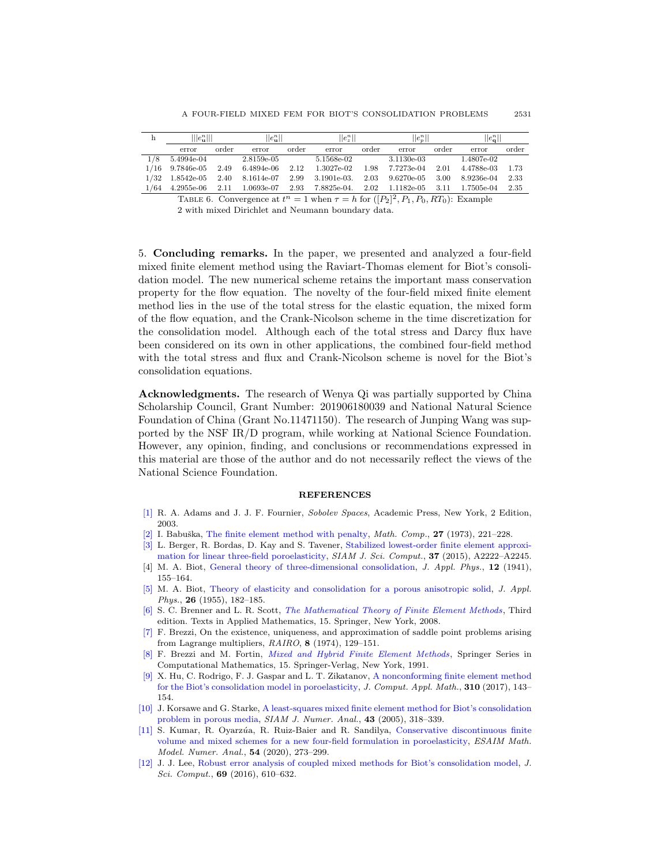<span id="page-14-13"></span>

| h   | $\ e_{\mathbf{n}}^n\ $ |       | $  e_{\mathbf{u}}^n  $ |       | $  e_z^n  $   |       | $  e_n^n  $ |       | $  e_{\mathbf{a}}^{n}  $ |       |
|-----|------------------------|-------|------------------------|-------|---------------|-------|-------------|-------|--------------------------|-------|
|     | error                  | order | error                  | order | error         | order | error       | order | error                    | order |
| 1/8 | 5.4994e-04             |       | 2.8159e-05             |       | 5.1568e-02    |       | 3.1130e-03  |       | 1.4807e-02               |       |
|     | $1/16$ 9.7846e-05      | 2.49  | 6.4894e-06             | 2.12  | $1.3027e-02$  | 1.98  | 7.7273e-04  | 2.01  | 4.4788e-03               | 1.73  |
|     | $1/32$ 1.8542e-05      | 2.40  | 8.1614e-07             | 2.99  | $3.1901e-03.$ | 2.03  | 9.6270e-05  | 3.00  | 8.9236e-04               | 2.33  |
|     | $1/64$ 4.2955e-06      | 2.11  | 1.0693e-07             | 2.93  | 7.8825e-04.   | 2.02  | 1.1182e-05  | 3.11  | 1.7505e-04               | 2.35  |

TABLE 6. Convergence at  $t^n = 1$  when  $\tau = h$  for  $([P_2]^2, P_1, P_0, RT_0)$ : Example 2 with mixed Dirichlet and Neumann boundary data.

<span id="page-14-9"></span>5. Concluding remarks. In the paper, we presented and analyzed a four-field mixed finite element method using the Raviart-Thomas element for Biot's consolidation model. The new numerical scheme retains the important mass conservation property for the flow equation. The novelty of the four-field mixed finite element method lies in the use of the total stress for the elastic equation, the mixed form of the flow equation, and the Crank-Nicolson scheme in the time discretization for the consolidation model. Although each of the total stress and Darcy flux have been considered on its own in other applications, the combined four-field method with the total stress and flux and Crank-Nicolson scheme is novel for the Biot's consolidation equations.

Acknowledgments. The research of Wenya Qi was partially supported by China Scholarship Council, Grant Number: 201906180039 and National Natural Science Foundation of China (Grant No.11471150). The research of Junping Wang was supported by the NSF IR/D program, while working at National Science Foundation. However, any opinion, finding, and conclusions or recommendations expressed in this material are those of the author and do not necessarily reflect the views of the National Science Foundation.

#### REFERENCES

- <span id="page-14-6"></span>[\[1\]](http://www.ams.org/mathscinet-getitem?mr=MR2424078&return=pdf) R. A. Adams and J. J. F. Fournier, Sobolev Spaces, Academic Press, New York, 2 Edition, 2003.
- <span id="page-14-7"></span>[\[2\]](http://www.ams.org/mathscinet-getitem?mr=MR351118&return=pdf) I. Babuška, [The finite element method with penalty,](http://dx.doi.org/10.1090/S0025-5718-1973-0351118-5) Math. Comp.,  $27$  (1973), 221–228.
- <span id="page-14-3"></span>[\[3\]](http://www.ams.org/mathscinet-getitem?mr=MR3394360&return=pdf) L. Berger, R. Bordas, D. Kay and S. Tavener, [Stabilized lowest-order finite element approxi](http://dx.doi.org/10.1137/15M1009822)[mation for linear three-field poroelasticity,](http://dx.doi.org/10.1137/15M1009822) SIAM J. Sci. Comput., 37 (2015), A2222-A2245.
- <span id="page-14-0"></span>[4] M. A. Biot, [General theory of three-dimensional consolidation,](http://dx.doi.org/10.1063/1.1712886) *J. Appl. Phys.*, **12** (1941), 155–164.
- <span id="page-14-1"></span>[\[5\]](http://www.ams.org/mathscinet-getitem?mr=MR66874&return=pdf) M. A. Biot, [Theory of elasticity and consolidation for a porous anisotropic solid,](http://dx.doi.org/10.1063/1.1721956) J. Appl. Phys., 26 (1955), 182-185.
- <span id="page-14-11"></span>[\[6\]](http://www.ams.org/mathscinet-getitem?mr=MR2373954&return=pdf) S. C. Brenner and L. R. Scott, [The Mathematical Theory of Finite Element Methods](http://dx.doi.org/10.1007/978-0-387-75934-0), Third edition. Texts in Applied Mathematics, 15. Springer, New York, 2008.
- <span id="page-14-8"></span>[\[7\]](http://www.ams.org/mathscinet-getitem?mr=MR365287&return=pdf) F. Brezzi, On the existence, uniqueness, and approximation of saddle point problems arising from Lagrange multipliers, RAIRO, 8 (1974), 129–151.
- <span id="page-14-10"></span>[\[8\]](http://www.ams.org/mathscinet-getitem?mr=MR1115205&return=pdf) F. Brezzi and M. Fortin, [Mixed and Hybrid Finite Element Methods](http://dx.doi.org/10.1007/978-1-4612-3172-1), Springer Series in Computational Mathematics, 15. Springer-Verlag, New York, 1991.
- <span id="page-14-4"></span>[\[9\]](http://www.ams.org/mathscinet-getitem?mr=MR3544596&return=pdf) X. Hu, C. Rodrigo, F. J. Gaspar and L. T. Zikatanov, [A nonconforming finite element method](http://dx.doi.org/10.1016/j.cam.2016.06.003) [for the Biot's consolidation model in poroelasticity,](http://dx.doi.org/10.1016/j.cam.2016.06.003) J. Comput. Appl. Math., 310 (2017), 143– 154.
- <span id="page-14-2"></span>[\[10\]](http://www.ams.org/mathscinet-getitem?mr=MR2177147&return=pdf) J. Korsawe and G. Starke, [A least-squares mixed finite element method for Biot's consolidation](http://dx.doi.org/10.1137/S0036142903432929) [problem in porous media,](http://dx.doi.org/10.1137/S0036142903432929) SIAM J. Numer. Anal., 43 (2005), 318-339.
- <span id="page-14-5"></span>[\[11\]](http://www.ams.org/mathscinet-getitem?mr=MR4058208&return=pdf) S. Kumar, R. Oyarz´ua, R. Ruiz-Baier and R. Sandilya, [Conservative discontinuous finite](http://dx.doi.org/10.1051/m2an/2019063) [volume and mixed schemes for a new four-field formulation in poroelasticity,](http://dx.doi.org/10.1051/m2an/2019063) ESAIM Math. Model. Numer. Anal., 54 (2020), 273–299.
- <span id="page-14-12"></span>[\[12\]](http://www.ams.org/mathscinet-getitem?mr=MR3551338&return=pdf) J. J. Lee, [Robust error analysis of coupled mixed methods for Biot's consolidation model,](http://dx.doi.org/10.1007/s10915-016-0210-0) J. Sci. Comput., 69 (2016), 610–632.